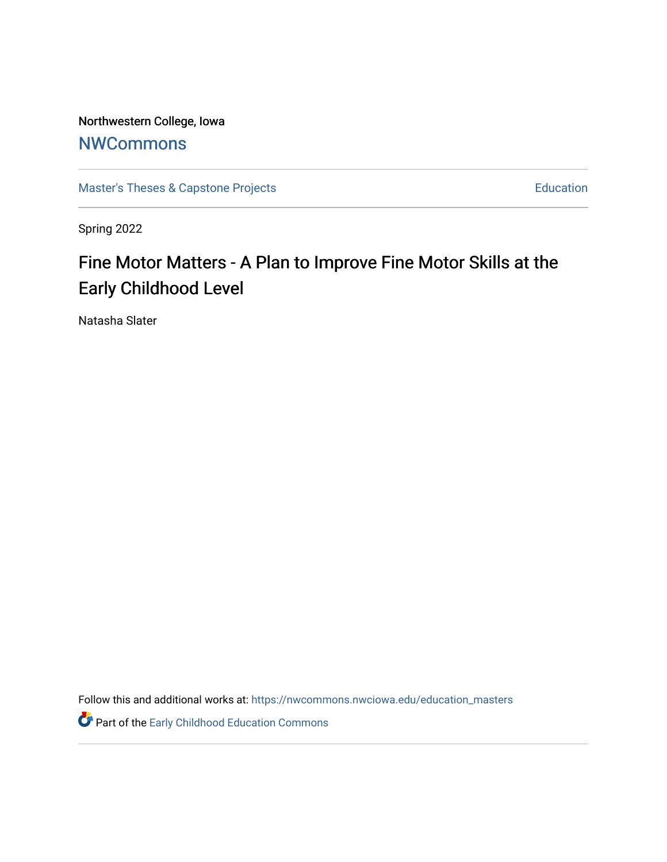Northwestern College, Iowa

## **[NWCommons](https://nwcommons.nwciowa.edu/)**

[Master's Theses & Capstone Projects](https://nwcommons.nwciowa.edu/education_masters) **Education** Education

Spring 2022

# Fine Motor Matters - A Plan to Improve Fine Motor Skills at the Early Childhood Level

Natasha Slater

Follow this and additional works at: [https://nwcommons.nwciowa.edu/education\\_masters](https://nwcommons.nwciowa.edu/education_masters?utm_source=nwcommons.nwciowa.edu%2Feducation_masters%2F411&utm_medium=PDF&utm_campaign=PDFCoverPages)

**Part of the Early Childhood Education Commons**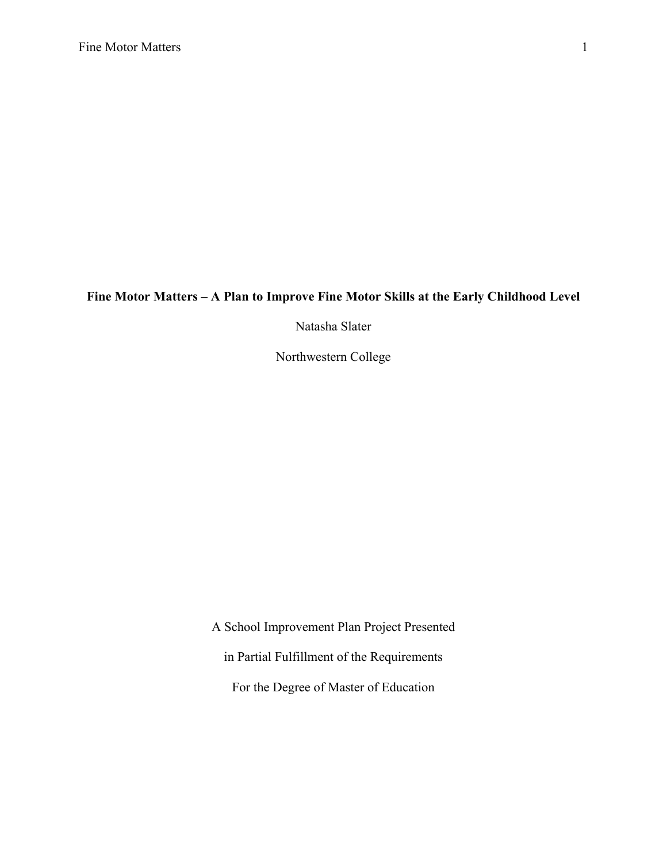## **Fine Motor Matters – A Plan to Improve Fine Motor Skills at the Early Childhood Level**

Natasha Slater

Northwestern College

A School Improvement Plan Project Presented in Partial Fulfillment of the Requirements For the Degree of Master of Education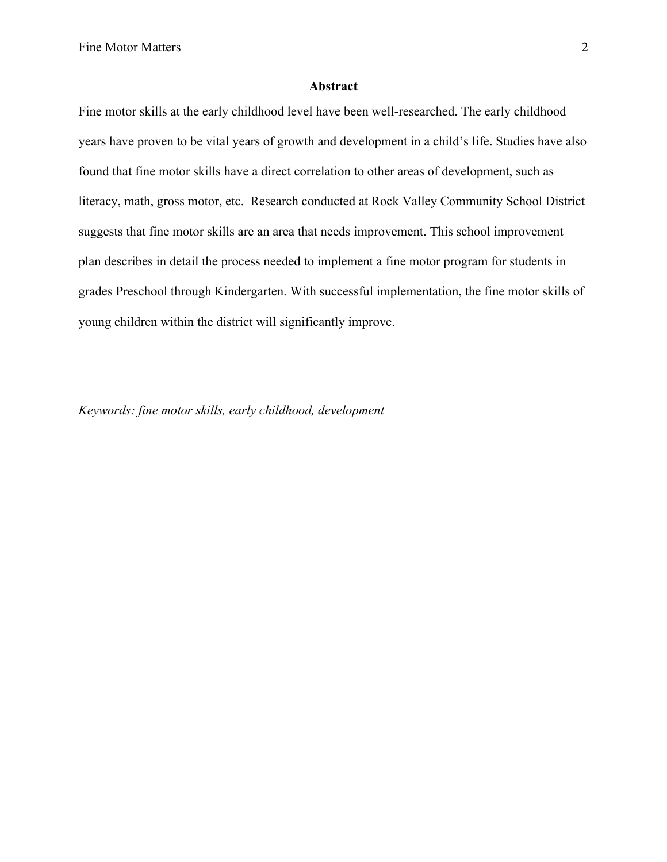#### **Abstract**

Fine motor skills at the early childhood level have been well-researched. The early childhood years have proven to be vital years of growth and development in a child's life. Studies have also found that fine motor skills have a direct correlation to other areas of development, such as literacy, math, gross motor, etc. Research conducted at Rock Valley Community School District suggests that fine motor skills are an area that needs improvement. This school improvement plan describes in detail the process needed to implement a fine motor program for students in grades Preschool through Kindergarten. With successful implementation, the fine motor skills of young children within the district will significantly improve.

*Keywords: fine motor skills, early childhood, development*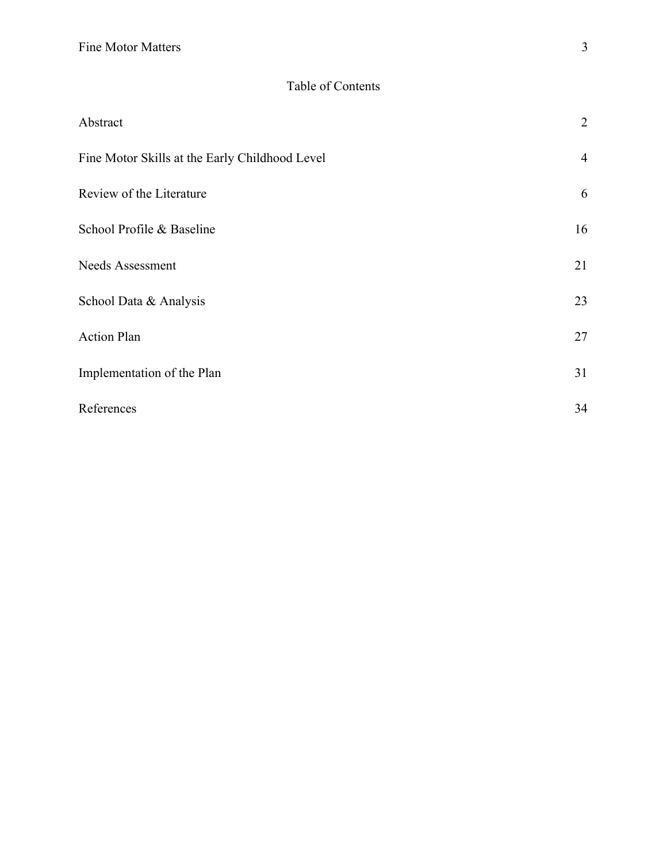| Abstract                                       | $\overline{2}$ |
|------------------------------------------------|----------------|
| Fine Motor Skills at the Early Childhood Level | $\overline{4}$ |
| Review of the Literature                       | 6              |
| School Profile & Baseline                      | 16             |
| Needs Assessment                               | 21             |
| School Data & Analysis                         | 23             |
| <b>Action Plan</b>                             | 27             |
| Implementation of the Plan                     | 31             |
| References                                     | 34             |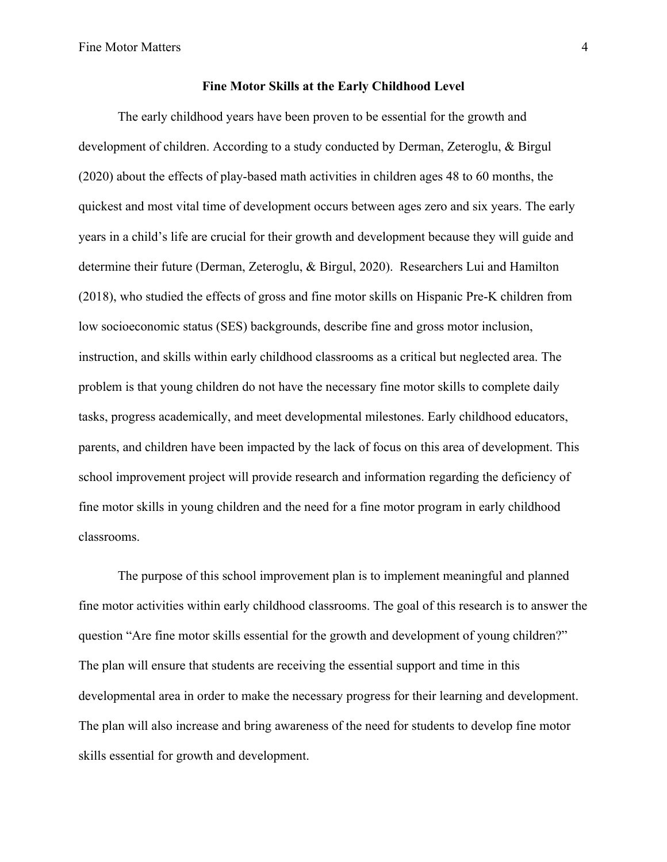#### **Fine Motor Skills at the Early Childhood Level**

The early childhood years have been proven to be essential for the growth and development of children. According to a study conducted by Derman, Zeteroglu, & Birgul (2020) about the effects of play-based math activities in children ages 48 to 60 months, the quickest and most vital time of development occurs between ages zero and six years. The early years in a child's life are crucial for their growth and development because they will guide and determine their future (Derman, Zeteroglu, & Birgul, 2020). Researchers Lui and Hamilton (2018), who studied the effects of gross and fine motor skills on Hispanic Pre-K children from low socioeconomic status (SES) backgrounds, describe fine and gross motor inclusion, instruction, and skills within early childhood classrooms as a critical but neglected area. The problem is that young children do not have the necessary fine motor skills to complete daily tasks, progress academically, and meet developmental milestones. Early childhood educators, parents, and children have been impacted by the lack of focus on this area of development. This school improvement project will provide research and information regarding the deficiency of fine motor skills in young children and the need for a fine motor program in early childhood classrooms.

The purpose of this school improvement plan is to implement meaningful and planned fine motor activities within early childhood classrooms. The goal of this research is to answer the question "Are fine motor skills essential for the growth and development of young children?" The plan will ensure that students are receiving the essential support and time in this developmental area in order to make the necessary progress for their learning and development. The plan will also increase and bring awareness of the need for students to develop fine motor skills essential for growth and development.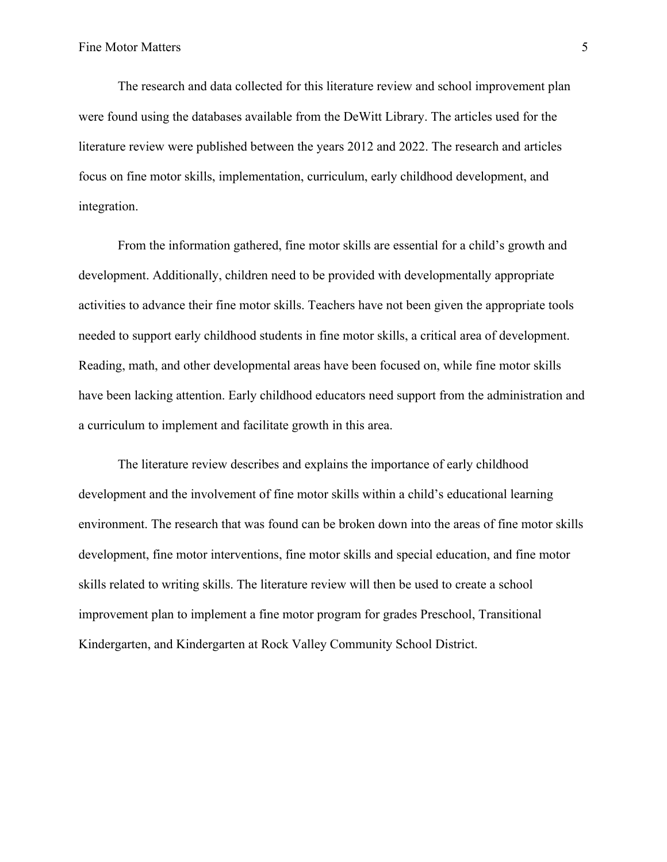The research and data collected for this literature review and school improvement plan were found using the databases available from the DeWitt Library. The articles used for the literature review were published between the years 2012 and 2022. The research and articles focus on fine motor skills, implementation, curriculum, early childhood development, and integration.

From the information gathered, fine motor skills are essential for a child's growth and development. Additionally, children need to be provided with developmentally appropriate activities to advance their fine motor skills. Teachers have not been given the appropriate tools needed to support early childhood students in fine motor skills, a critical area of development. Reading, math, and other developmental areas have been focused on, while fine motor skills have been lacking attention. Early childhood educators need support from the administration and a curriculum to implement and facilitate growth in this area.

The literature review describes and explains the importance of early childhood development and the involvement of fine motor skills within a child's educational learning environment. The research that was found can be broken down into the areas of fine motor skills development, fine motor interventions, fine motor skills and special education, and fine motor skills related to writing skills. The literature review will then be used to create a school improvement plan to implement a fine motor program for grades Preschool, Transitional Kindergarten, and Kindergarten at Rock Valley Community School District.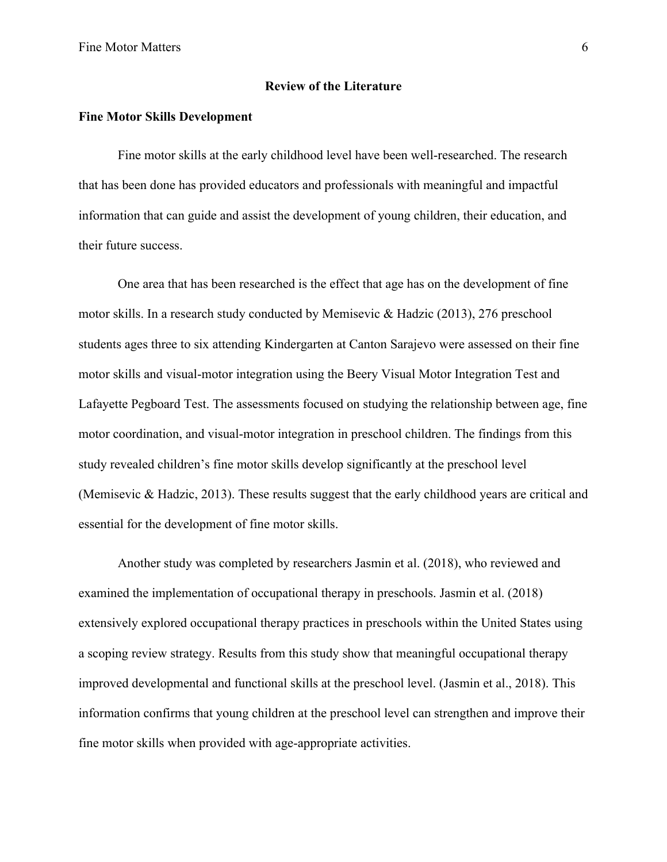#### **Review of the Literature**

#### **Fine Motor Skills Development**

Fine motor skills at the early childhood level have been well-researched. The research that has been done has provided educators and professionals with meaningful and impactful information that can guide and assist the development of young children, their education, and their future success.

One area that has been researched is the effect that age has on the development of fine motor skills. In a research study conducted by Memisevic & Hadzic (2013), 276 preschool students ages three to six attending Kindergarten at Canton Sarajevo were assessed on their fine motor skills and visual-motor integration using the Beery Visual Motor Integration Test and Lafayette Pegboard Test. The assessments focused on studying the relationship between age, fine motor coordination, and visual-motor integration in preschool children. The findings from this study revealed children's fine motor skills develop significantly at the preschool level (Memisevic & Hadzic, 2013). These results suggest that the early childhood years are critical and essential for the development of fine motor skills.

Another study was completed by researchers Jasmin et al. (2018), who reviewed and examined the implementation of occupational therapy in preschools. Jasmin et al. (2018) extensively explored occupational therapy practices in preschools within the United States using a scoping review strategy. Results from this study show that meaningful occupational therapy improved developmental and functional skills at the preschool level. (Jasmin et al., 2018). This information confirms that young children at the preschool level can strengthen and improve their fine motor skills when provided with age-appropriate activities.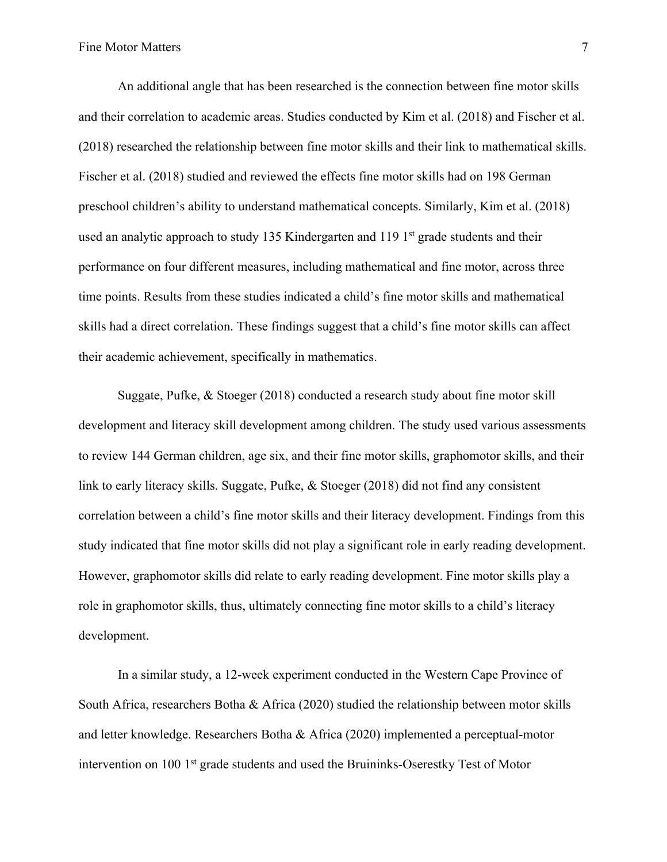An additional angle that has been researched is the connection between fine motor skills and their correlation to academic areas. Studies conducted by Kim et al. (2018) and Fischer et al. (2018) researched the relationship between fine motor skills and their link to mathematical skills. Fischer et al. (2018) studied and reviewed the effects fine motor skills had on 198 German preschool children's ability to understand mathematical concepts. Similarly, Kim et al. (2018) used an analytic approach to study 135 Kindergarten and 119 1<sup>st</sup> grade students and their performance on four different measures, including mathematical and fine motor, across three time points. Results from these studies indicated a child's fine motor skills and mathematical skills had a direct correlation. These findings suggest that a child's fine motor skills can affect their academic achievement, specifically in mathematics.

Suggate, Pufke, & Stoeger (2018) conducted a research study about fine motor skill development and literacy skill development among children. The study used various assessments to review 144 German children, age six, and their fine motor skills, graphomotor skills, and their link to early literacy skills. Suggate, Pufke, & Stoeger (2018) did not find any consistent correlation between a child's fine motor skills and their literacy development. Findings from this study indicated that fine motor skills did not play a significant role in early reading development. However, graphomotor skills did relate to early reading development. Fine motor skills play a role in graphomotor skills, thus, ultimately connecting fine motor skills to a child's literacy development.

In a similar study, a 12-week experiment conducted in the Western Cape Province of South Africa, researchers Botha & Africa (2020) studied the relationship between motor skills and letter knowledge. Researchers Botha & Africa (2020) implemented a perceptual-motor intervention on 100 1st grade students and used the Bruininks-Oserestky Test of Motor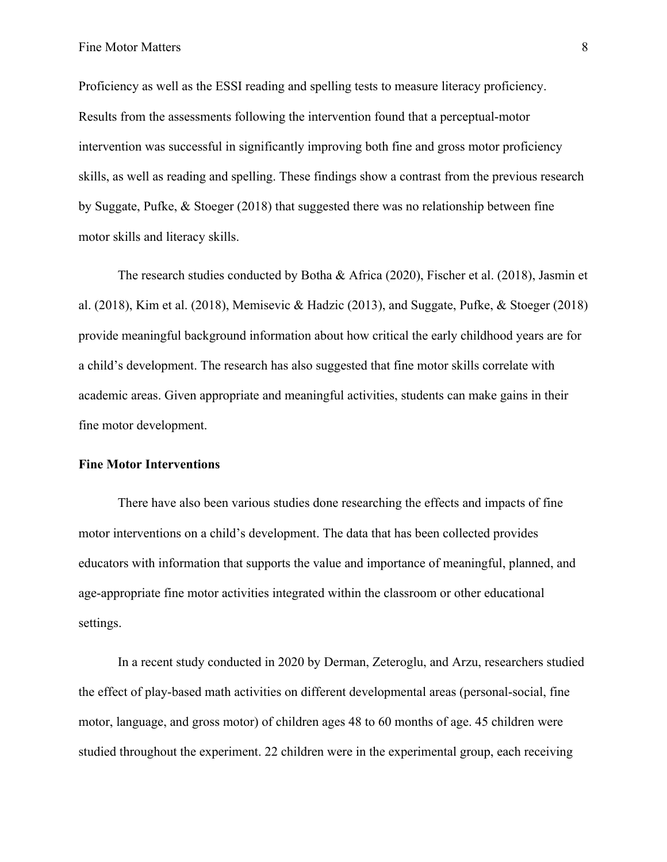Proficiency as well as the ESSI reading and spelling tests to measure literacy proficiency. Results from the assessments following the intervention found that a perceptual-motor intervention was successful in significantly improving both fine and gross motor proficiency skills, as well as reading and spelling. These findings show a contrast from the previous research by Suggate, Pufke, & Stoeger (2018) that suggested there was no relationship between fine motor skills and literacy skills.

The research studies conducted by Botha & Africa (2020), Fischer et al. (2018), Jasmin et al. (2018), Kim et al. (2018), Memisevic & Hadzic (2013), and Suggate, Pufke, & Stoeger (2018) provide meaningful background information about how critical the early childhood years are for a child's development. The research has also suggested that fine motor skills correlate with academic areas. Given appropriate and meaningful activities, students can make gains in their fine motor development.

#### **Fine Motor Interventions**

There have also been various studies done researching the effects and impacts of fine motor interventions on a child's development. The data that has been collected provides educators with information that supports the value and importance of meaningful, planned, and age-appropriate fine motor activities integrated within the classroom or other educational settings.

In a recent study conducted in 2020 by Derman, Zeteroglu, and Arzu, researchers studied the effect of play-based math activities on different developmental areas (personal-social, fine motor, language, and gross motor) of children ages 48 to 60 months of age. 45 children were studied throughout the experiment. 22 children were in the experimental group, each receiving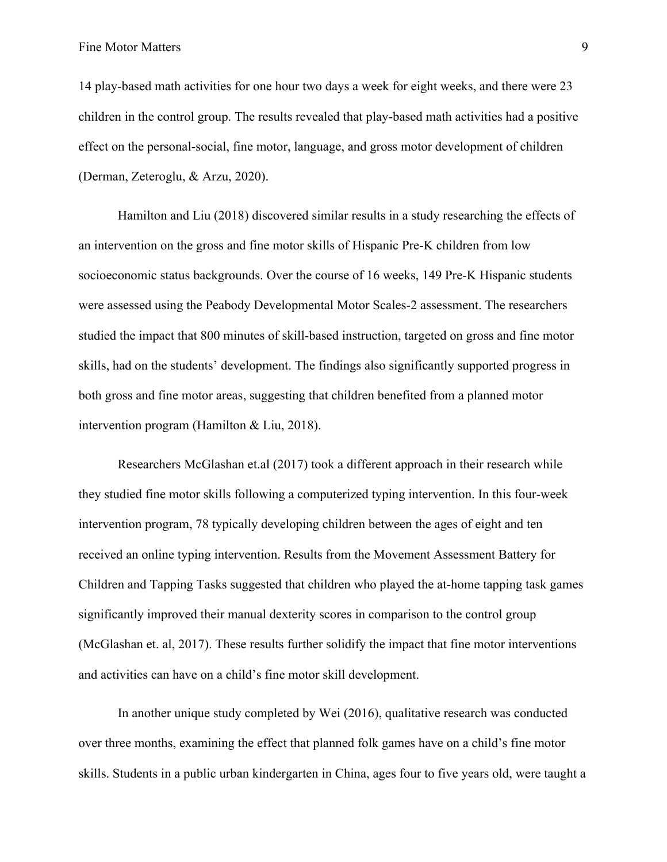Fine Motor Matters 9

14 play-based math activities for one hour two days a week for eight weeks, and there were 23 children in the control group. The results revealed that play-based math activities had a positive effect on the personal-social, fine motor, language, and gross motor development of children (Derman, Zeteroglu, & Arzu, 2020).

Hamilton and Liu (2018) discovered similar results in a study researching the effects of an intervention on the gross and fine motor skills of Hispanic Pre-K children from low socioeconomic status backgrounds. Over the course of 16 weeks, 149 Pre-K Hispanic students were assessed using the Peabody Developmental Motor Scales-2 assessment. The researchers studied the impact that 800 minutes of skill-based instruction, targeted on gross and fine motor skills, had on the students' development. The findings also significantly supported progress in both gross and fine motor areas, suggesting that children benefited from a planned motor intervention program (Hamilton & Liu, 2018).

Researchers McGlashan et.al (2017) took a different approach in their research while they studied fine motor skills following a computerized typing intervention. In this four-week intervention program, 78 typically developing children between the ages of eight and ten received an online typing intervention. Results from the Movement Assessment Battery for Children and Tapping Tasks suggested that children who played the at-home tapping task games significantly improved their manual dexterity scores in comparison to the control group (McGlashan et. al, 2017). These results further solidify the impact that fine motor interventions and activities can have on a child's fine motor skill development.

In another unique study completed by Wei (2016), qualitative research was conducted over three months, examining the effect that planned folk games have on a child's fine motor skills. Students in a public urban kindergarten in China, ages four to five years old, were taught a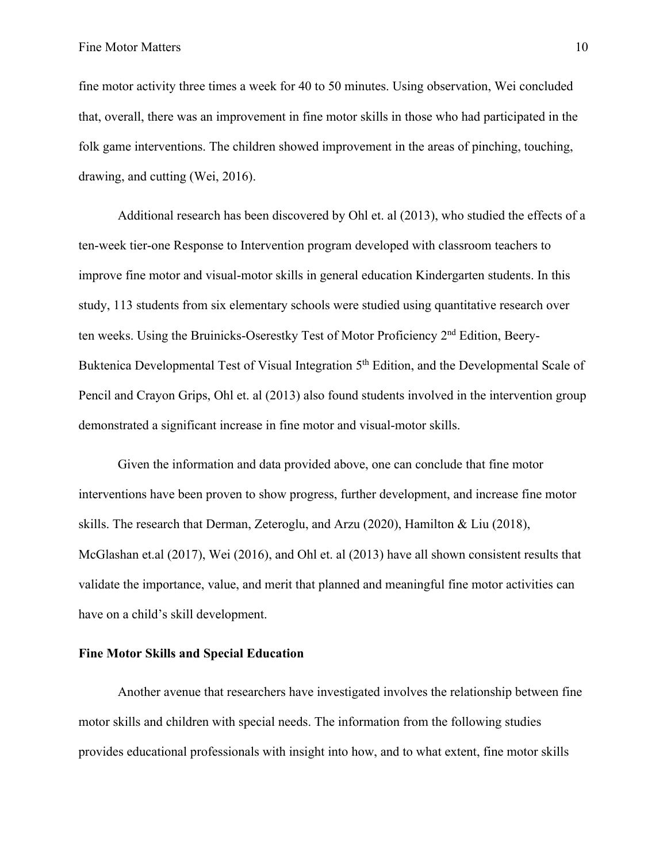fine motor activity three times a week for 40 to 50 minutes. Using observation, Wei concluded that, overall, there was an improvement in fine motor skills in those who had participated in the folk game interventions. The children showed improvement in the areas of pinching, touching, drawing, and cutting (Wei, 2016).

Additional research has been discovered by Ohl et. al (2013), who studied the effects of a ten-week tier-one Response to Intervention program developed with classroom teachers to improve fine motor and visual-motor skills in general education Kindergarten students. In this study, 113 students from six elementary schools were studied using quantitative research over ten weeks. Using the Bruinicks-Oserestky Test of Motor Proficiency 2nd Edition, Beery-Buktenica Developmental Test of Visual Integration 5<sup>th</sup> Edition, and the Developmental Scale of Pencil and Crayon Grips, Ohl et. al (2013) also found students involved in the intervention group demonstrated a significant increase in fine motor and visual-motor skills.

Given the information and data provided above, one can conclude that fine motor interventions have been proven to show progress, further development, and increase fine motor skills. The research that Derman, Zeteroglu, and Arzu (2020), Hamilton & Liu (2018), McGlashan et.al (2017), Wei (2016), and Ohl et. al (2013) have all shown consistent results that validate the importance, value, and merit that planned and meaningful fine motor activities can have on a child's skill development.

#### **Fine Motor Skills and Special Education**

Another avenue that researchers have investigated involves the relationship between fine motor skills and children with special needs. The information from the following studies provides educational professionals with insight into how, and to what extent, fine motor skills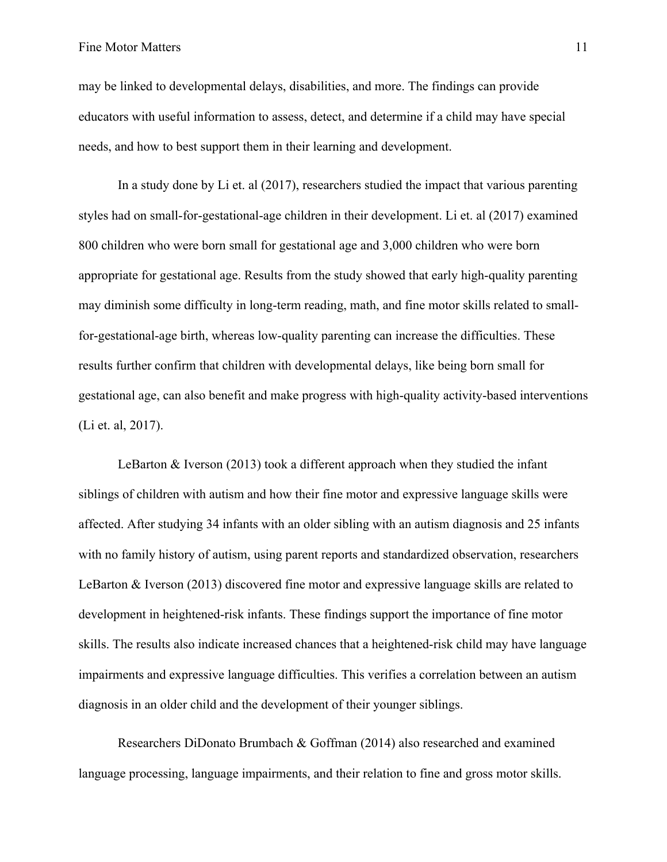#### Fine Motor Matters 11

may be linked to developmental delays, disabilities, and more. The findings can provide educators with useful information to assess, detect, and determine if a child may have special needs, and how to best support them in their learning and development.

In a study done by Li et. al (2017), researchers studied the impact that various parenting styles had on small-for-gestational-age children in their development. Li et. al (2017) examined 800 children who were born small for gestational age and 3,000 children who were born appropriate for gestational age. Results from the study showed that early high-quality parenting may diminish some difficulty in long-term reading, math, and fine motor skills related to smallfor-gestational-age birth, whereas low-quality parenting can increase the difficulties. These results further confirm that children with developmental delays, like being born small for gestational age, can also benefit and make progress with high-quality activity-based interventions (Li et. al, 2017).

LeBarton & Iverson (2013) took a different approach when they studied the infant siblings of children with autism and how their fine motor and expressive language skills were affected. After studying 34 infants with an older sibling with an autism diagnosis and 25 infants with no family history of autism, using parent reports and standardized observation, researchers LeBarton & Iverson (2013) discovered fine motor and expressive language skills are related to development in heightened-risk infants. These findings support the importance of fine motor skills. The results also indicate increased chances that a heightened-risk child may have language impairments and expressive language difficulties. This verifies a correlation between an autism diagnosis in an older child and the development of their younger siblings.

Researchers DiDonato Brumbach & Goffman (2014) also researched and examined language processing, language impairments, and their relation to fine and gross motor skills.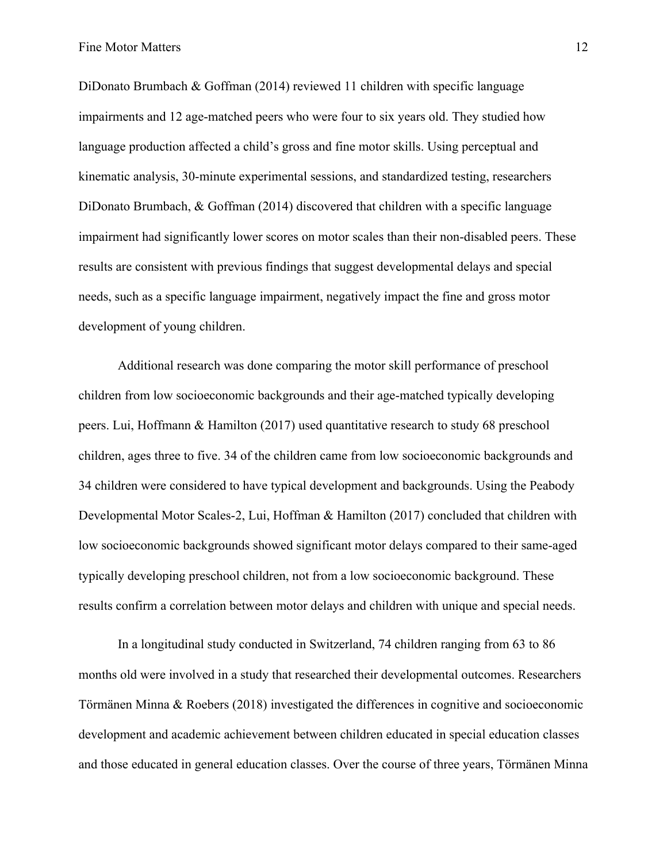DiDonato Brumbach & Goffman (2014) reviewed 11 children with specific language impairments and 12 age-matched peers who were four to six years old. They studied how language production affected a child's gross and fine motor skills. Using perceptual and kinematic analysis, 30-minute experimental sessions, and standardized testing, researchers DiDonato Brumbach, & Goffman (2014) discovered that children with a specific language impairment had significantly lower scores on motor scales than their non-disabled peers. These results are consistent with previous findings that suggest developmental delays and special needs, such as a specific language impairment, negatively impact the fine and gross motor development of young children.

Additional research was done comparing the motor skill performance of preschool children from low socioeconomic backgrounds and their age-matched typically developing peers. Lui, Hoffmann & Hamilton (2017) used quantitative research to study 68 preschool children, ages three to five. 34 of the children came from low socioeconomic backgrounds and 34 children were considered to have typical development and backgrounds. Using the Peabody Developmental Motor Scales-2, Lui, Hoffman & Hamilton (2017) concluded that children with low socioeconomic backgrounds showed significant motor delays compared to their same-aged typically developing preschool children, not from a low socioeconomic background. These results confirm a correlation between motor delays and children with unique and special needs.

In a longitudinal study conducted in Switzerland, 74 children ranging from 63 to 86 months old were involved in a study that researched their developmental outcomes. Researchers Törmänen Minna & Roebers (2018) investigated the differences in cognitive and socioeconomic development and academic achievement between children educated in special education classes and those educated in general education classes. Over the course of three years, Törmänen Minna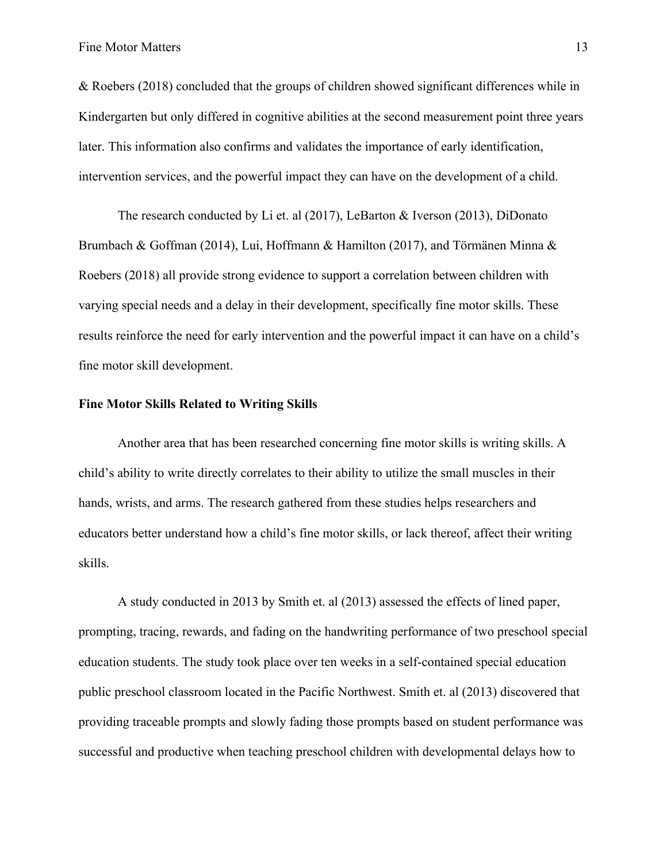& Roebers (2018) concluded that the groups of children showed significant differences while in Kindergarten but only differed in cognitive abilities at the second measurement point three years later. This information also confirms and validates the importance of early identification, intervention services, and the powerful impact they can have on the development of a child.

The research conducted by Li et. al (2017), LeBarton & Iverson (2013), DiDonato Brumbach & Goffman (2014), Lui, Hoffmann & Hamilton (2017), and Törmänen Minna & Roebers (2018) all provide strong evidence to support a correlation between children with varying special needs and a delay in their development, specifically fine motor skills. These results reinforce the need for early intervention and the powerful impact it can have on a child's fine motor skill development.

#### **Fine Motor Skills Related to Writing Skills**

Another area that has been researched concerning fine motor skills is writing skills. A child's ability to write directly correlates to their ability to utilize the small muscles in their hands, wrists, and arms. The research gathered from these studies helps researchers and educators better understand how a child's fine motor skills, or lack thereof, affect their writing skills.

A study conducted in 2013 by Smith et. al (2013) assessed the effects of lined paper, prompting, tracing, rewards, and fading on the handwriting performance of two preschool special education students. The study took place over ten weeks in a self-contained special education public preschool classroom located in the Pacific Northwest. Smith et. al (2013) discovered that providing traceable prompts and slowly fading those prompts based on student performance was successful and productive when teaching preschool children with developmental delays how to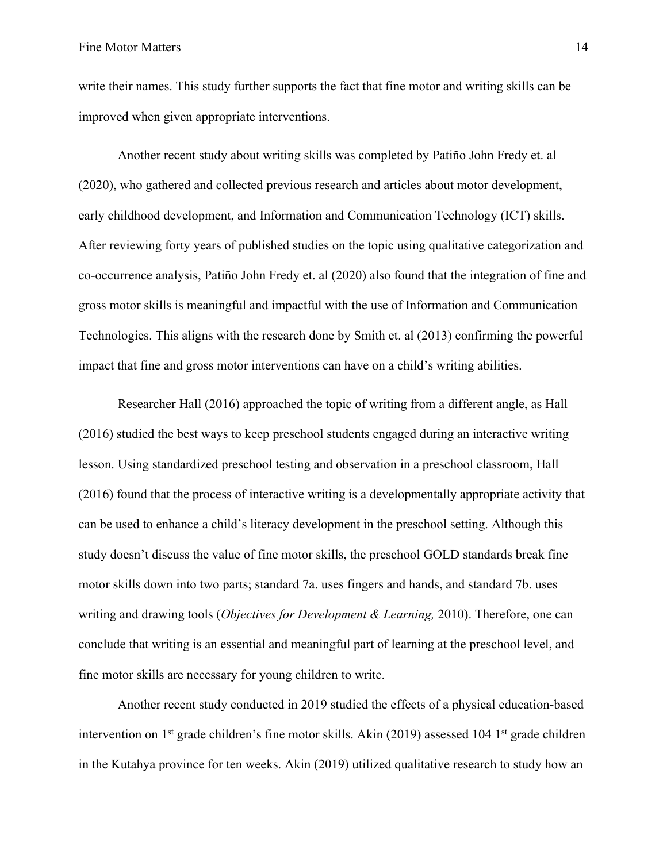write their names. This study further supports the fact that fine motor and writing skills can be improved when given appropriate interventions.

Another recent study about writing skills was completed by Patiño John Fredy et. al (2020), who gathered and collected previous research and articles about motor development, early childhood development, and Information and Communication Technology (ICT) skills. After reviewing forty years of published studies on the topic using qualitative categorization and co-occurrence analysis, Patiño John Fredy et. al (2020) also found that the integration of fine and gross motor skills is meaningful and impactful with the use of Information and Communication Technologies. This aligns with the research done by Smith et. al (2013) confirming the powerful impact that fine and gross motor interventions can have on a child's writing abilities.

Researcher Hall (2016) approached the topic of writing from a different angle, as Hall (2016) studied the best ways to keep preschool students engaged during an interactive writing lesson. Using standardized preschool testing and observation in a preschool classroom, Hall (2016) found that the process of interactive writing is a developmentally appropriate activity that can be used to enhance a child's literacy development in the preschool setting. Although this study doesn't discuss the value of fine motor skills, the preschool GOLD standards break fine motor skills down into two parts; standard 7a. uses fingers and hands, and standard 7b. uses writing and drawing tools (*Objectives for Development & Learning,* 2010). Therefore, one can conclude that writing is an essential and meaningful part of learning at the preschool level, and fine motor skills are necessary for young children to write.

Another recent study conducted in 2019 studied the effects of a physical education-based intervention on 1<sup>st</sup> grade children's fine motor skills. Akin (2019) assessed 104 1<sup>st</sup> grade children in the Kutahya province for ten weeks. Akin (2019) utilized qualitative research to study how an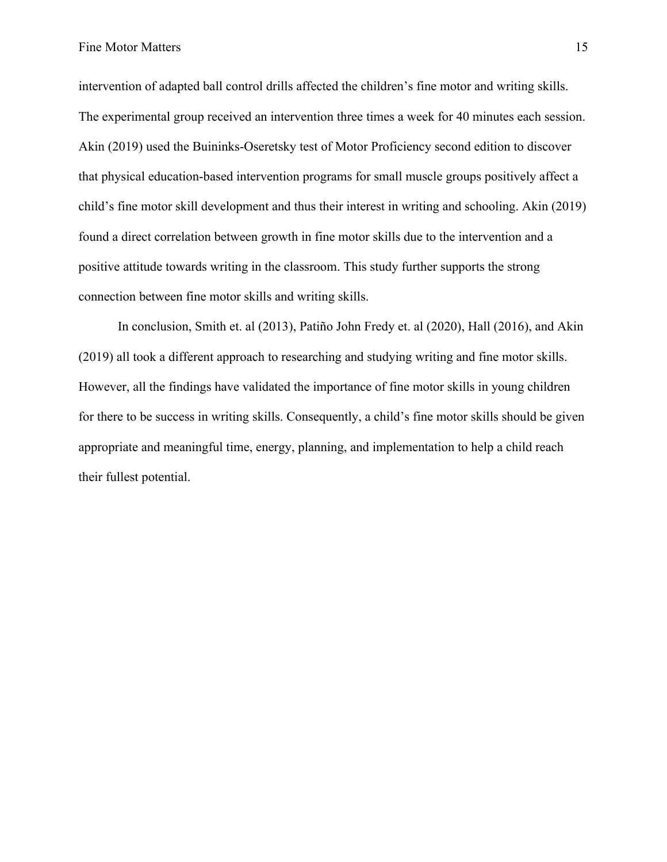intervention of adapted ball control drills affected the children's fine motor and writing skills. The experimental group received an intervention three times a week for 40 minutes each session. Akin (2019) used the Buininks-Oseretsky test of Motor Proficiency second edition to discover that physical education-based intervention programs for small muscle groups positively affect a child's fine motor skill development and thus their interest in writing and schooling. Akin (2019) found a direct correlation between growth in fine motor skills due to the intervention and a positive attitude towards writing in the classroom. This study further supports the strong connection between fine motor skills and writing skills.

In conclusion, Smith et. al (2013), Patiño John Fredy et. al (2020), Hall (2016), and Akin (2019) all took a different approach to researching and studying writing and fine motor skills. However, all the findings have validated the importance of fine motor skills in young children for there to be success in writing skills. Consequently, a child's fine motor skills should be given appropriate and meaningful time, energy, planning, and implementation to help a child reach their fullest potential.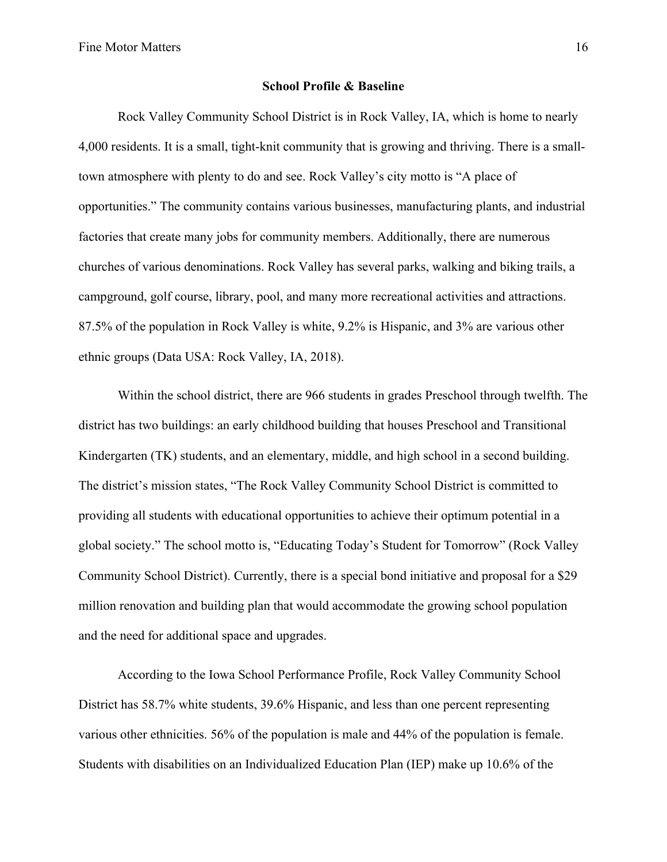#### **School Profile & Baseline**

Rock Valley Community School District is in Rock Valley, IA, which is home to nearly 4,000 residents. It is a small, tight-knit community that is growing and thriving. There is a smalltown atmosphere with plenty to do and see. Rock Valley's city motto is "A place of opportunities." The community contains various businesses, manufacturing plants, and industrial factories that create many jobs for community members. Additionally, there are numerous churches of various denominations. Rock Valley has several parks, walking and biking trails, a campground, golf course, library, pool, and many more recreational activities and attractions. 87.5% of the population in Rock Valley is white, 9.2% is Hispanic, and 3% are various other ethnic groups (Data USA: Rock Valley, IA, 2018).

Within the school district, there are 966 students in grades Preschool through twelfth. The district has two buildings: an early childhood building that houses Preschool and Transitional Kindergarten (TK) students, and an elementary, middle, and high school in a second building. The district's mission states, "The Rock Valley Community School District is committed to providing all students with educational opportunities to achieve their optimum potential in a global society." The school motto is, "Educating Today's Student for Tomorrow" (Rock Valley Community School District). Currently, there is a special bond initiative and proposal for a \$29 million renovation and building plan that would accommodate the growing school population and the need for additional space and upgrades.

According to the Iowa School Performance Profile, Rock Valley Community School District has 58.7% white students, 39.6% Hispanic, and less than one percent representing various other ethnicities. 56% of the population is male and 44% of the population is female. Students with disabilities on an Individualized Education Plan (IEP) make up 10.6% of the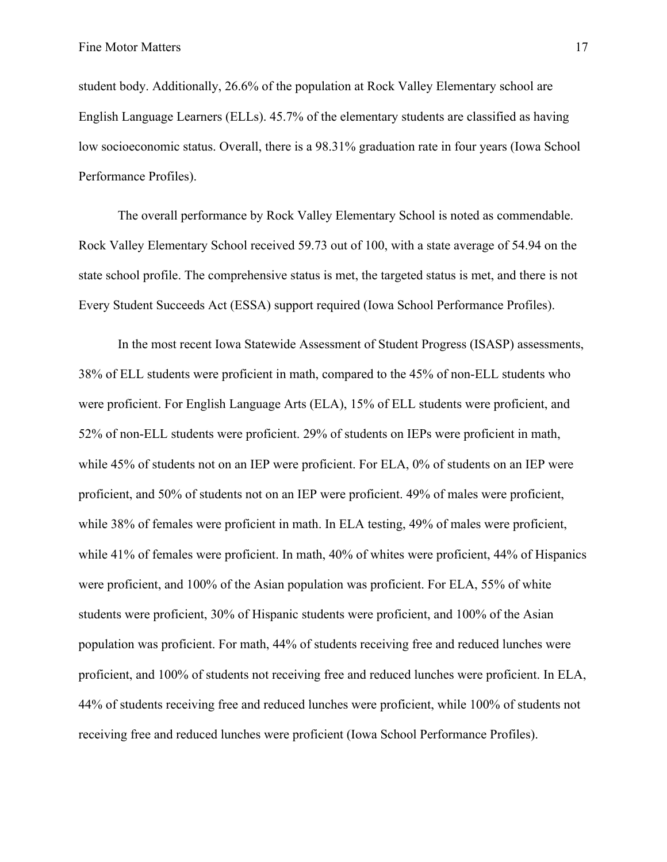student body. Additionally, 26.6% of the population at Rock Valley Elementary school are English Language Learners (ELLs). 45.7% of the elementary students are classified as having low socioeconomic status. Overall, there is a 98.31% graduation rate in four years (Iowa School Performance Profiles).

The overall performance by Rock Valley Elementary School is noted as commendable. Rock Valley Elementary School received 59.73 out of 100, with a state average of 54.94 on the state school profile. The comprehensive status is met, the targeted status is met, and there is not Every Student Succeeds Act (ESSA) support required (Iowa School Performance Profiles).

In the most recent Iowa Statewide Assessment of Student Progress (ISASP) assessments, 38% of ELL students were proficient in math, compared to the 45% of non-ELL students who were proficient. For English Language Arts (ELA), 15% of ELL students were proficient, and 52% of non-ELL students were proficient. 29% of students on IEPs were proficient in math, while 45% of students not on an IEP were proficient. For ELA, 0% of students on an IEP were proficient, and 50% of students not on an IEP were proficient. 49% of males were proficient, while 38% of females were proficient in math. In ELA testing, 49% of males were proficient, while 41% of females were proficient. In math, 40% of whites were proficient, 44% of Hispanics were proficient, and 100% of the Asian population was proficient. For ELA, 55% of white students were proficient, 30% of Hispanic students were proficient, and 100% of the Asian population was proficient. For math, 44% of students receiving free and reduced lunches were proficient, and 100% of students not receiving free and reduced lunches were proficient. In ELA, 44% of students receiving free and reduced lunches were proficient, while 100% of students not receiving free and reduced lunches were proficient (Iowa School Performance Profiles).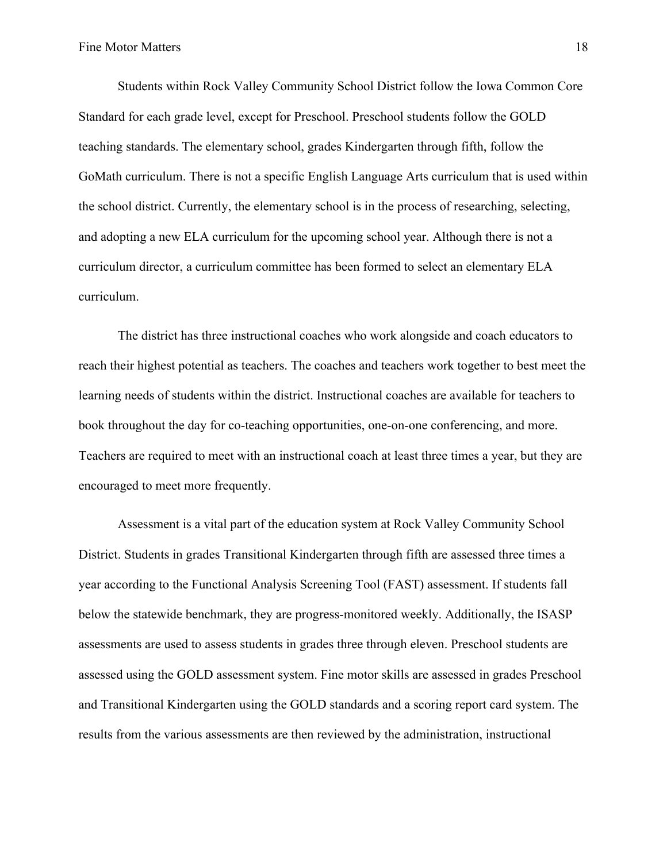Students within Rock Valley Community School District follow the Iowa Common Core Standard for each grade level, except for Preschool. Preschool students follow the GOLD teaching standards. The elementary school, grades Kindergarten through fifth, follow the GoMath curriculum. There is not a specific English Language Arts curriculum that is used within the school district. Currently, the elementary school is in the process of researching, selecting, and adopting a new ELA curriculum for the upcoming school year. Although there is not a curriculum director, a curriculum committee has been formed to select an elementary ELA curriculum.

The district has three instructional coaches who work alongside and coach educators to reach their highest potential as teachers. The coaches and teachers work together to best meet the learning needs of students within the district. Instructional coaches are available for teachers to book throughout the day for co-teaching opportunities, one-on-one conferencing, and more. Teachers are required to meet with an instructional coach at least three times a year, but they are encouraged to meet more frequently.

Assessment is a vital part of the education system at Rock Valley Community School District. Students in grades Transitional Kindergarten through fifth are assessed three times a year according to the Functional Analysis Screening Tool (FAST) assessment. If students fall below the statewide benchmark, they are progress-monitored weekly. Additionally, the ISASP assessments are used to assess students in grades three through eleven. Preschool students are assessed using the GOLD assessment system. Fine motor skills are assessed in grades Preschool and Transitional Kindergarten using the GOLD standards and a scoring report card system. The results from the various assessments are then reviewed by the administration, instructional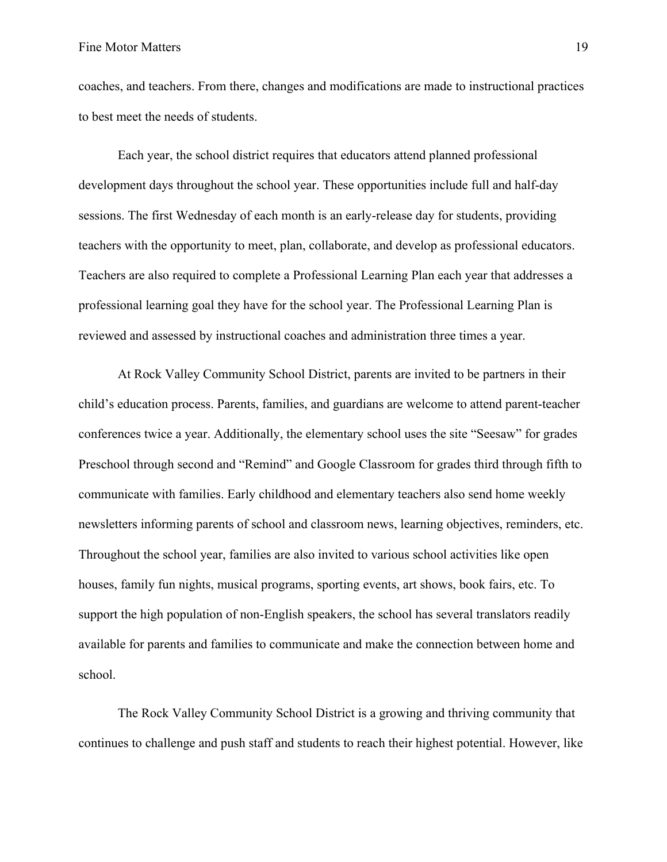coaches, and teachers. From there, changes and modifications are made to instructional practices to best meet the needs of students.

Each year, the school district requires that educators attend planned professional development days throughout the school year. These opportunities include full and half-day sessions. The first Wednesday of each month is an early-release day for students, providing teachers with the opportunity to meet, plan, collaborate, and develop as professional educators. Teachers are also required to complete a Professional Learning Plan each year that addresses a professional learning goal they have for the school year. The Professional Learning Plan is reviewed and assessed by instructional coaches and administration three times a year.

At Rock Valley Community School District, parents are invited to be partners in their child's education process. Parents, families, and guardians are welcome to attend parent-teacher conferences twice a year. Additionally, the elementary school uses the site "Seesaw" for grades Preschool through second and "Remind" and Google Classroom for grades third through fifth to communicate with families. Early childhood and elementary teachers also send home weekly newsletters informing parents of school and classroom news, learning objectives, reminders, etc. Throughout the school year, families are also invited to various school activities like open houses, family fun nights, musical programs, sporting events, art shows, book fairs, etc. To support the high population of non-English speakers, the school has several translators readily available for parents and families to communicate and make the connection between home and school.

The Rock Valley Community School District is a growing and thriving community that continues to challenge and push staff and students to reach their highest potential. However, like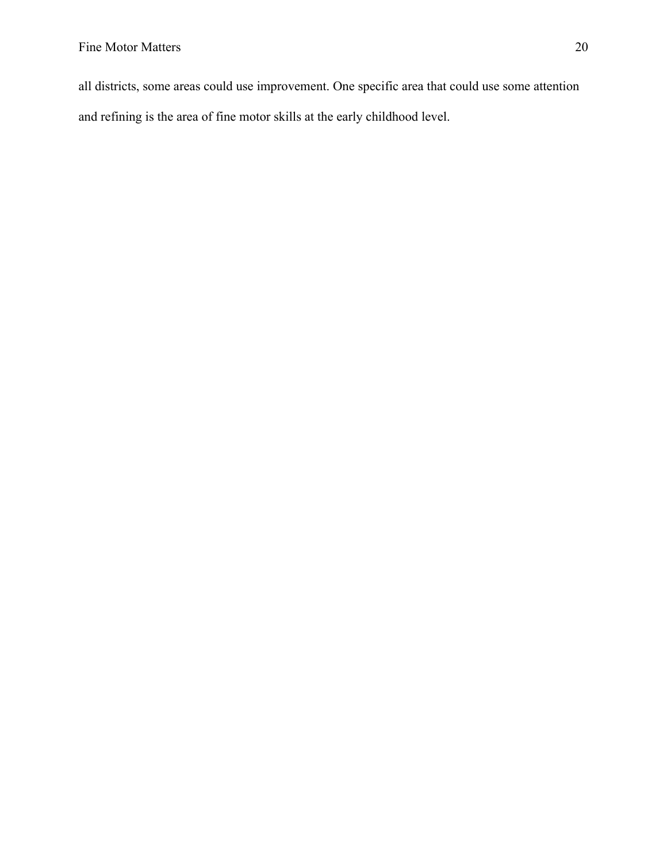all districts, some areas could use improvement. One specific area that could use some attention and refining is the area of fine motor skills at the early childhood level.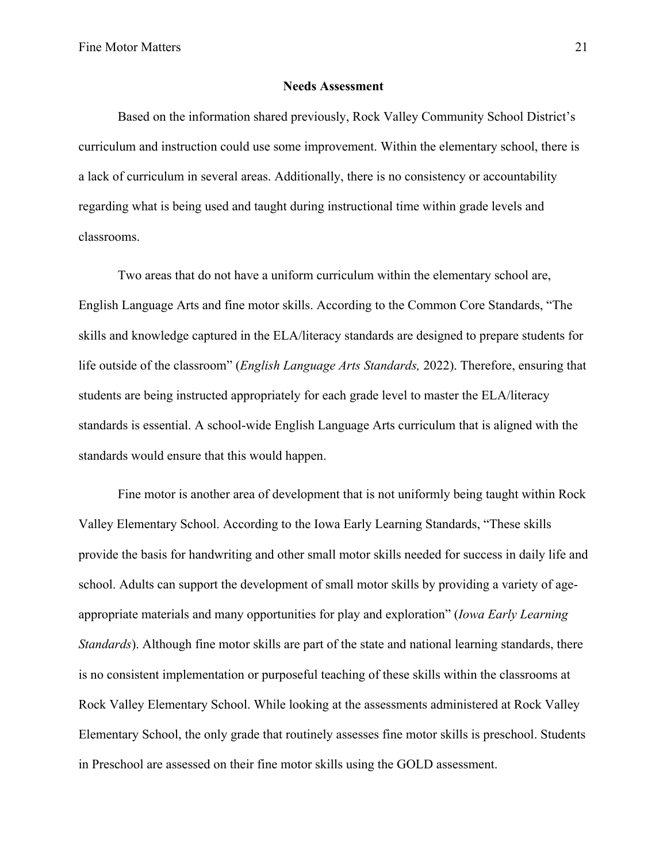#### **Needs Assessment**

Based on the information shared previously, Rock Valley Community School District's curriculum and instruction could use some improvement. Within the elementary school, there is a lack of curriculum in several areas. Additionally, there is no consistency or accountability regarding what is being used and taught during instructional time within grade levels and classrooms.

Two areas that do not have a uniform curriculum within the elementary school are, English Language Arts and fine motor skills. According to the Common Core Standards, "The skills and knowledge captured in the ELA/literacy standards are designed to prepare students for life outside of the classroom" (*English Language Arts Standards,* 2022). Therefore, ensuring that students are being instructed appropriately for each grade level to master the ELA/literacy standards is essential. A school-wide English Language Arts curriculum that is aligned with the standards would ensure that this would happen.

Fine motor is another area of development that is not uniformly being taught within Rock Valley Elementary School. According to the Iowa Early Learning Standards, "These skills provide the basis for handwriting and other small motor skills needed for success in daily life and school. Adults can support the development of small motor skills by providing a variety of ageappropriate materials and many opportunities for play and exploration" (*Iowa Early Learning Standards*). Although fine motor skills are part of the state and national learning standards, there is no consistent implementation or purposeful teaching of these skills within the classrooms at Rock Valley Elementary School. While looking at the assessments administered at Rock Valley Elementary School, the only grade that routinely assesses fine motor skills is preschool. Students in Preschool are assessed on their fine motor skills using the GOLD assessment.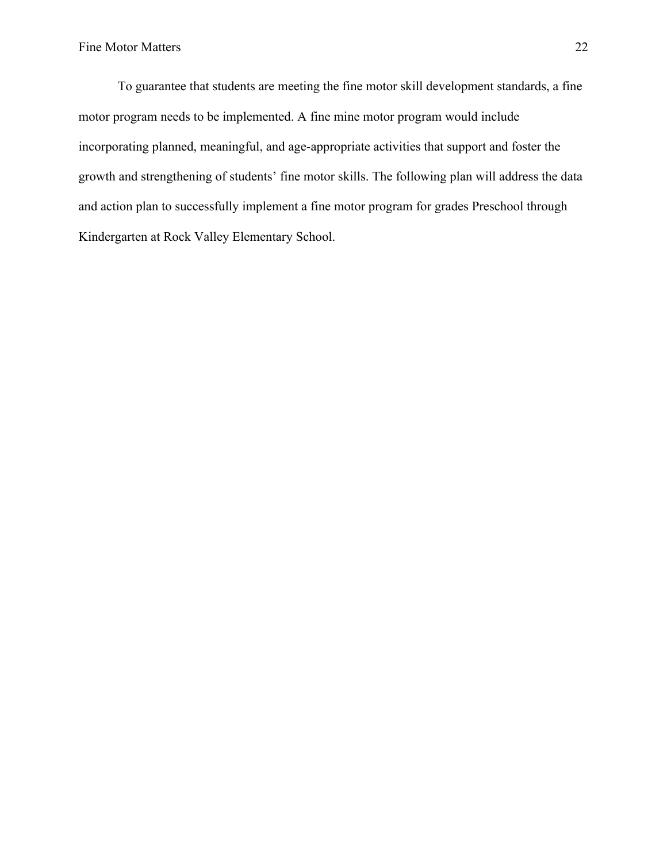To guarantee that students are meeting the fine motor skill development standards, a fine motor program needs to be implemented. A fine mine motor program would include incorporating planned, meaningful, and age-appropriate activities that support and foster the growth and strengthening of students' fine motor skills. The following plan will address the data and action plan to successfully implement a fine motor program for grades Preschool through Kindergarten at Rock Valley Elementary School.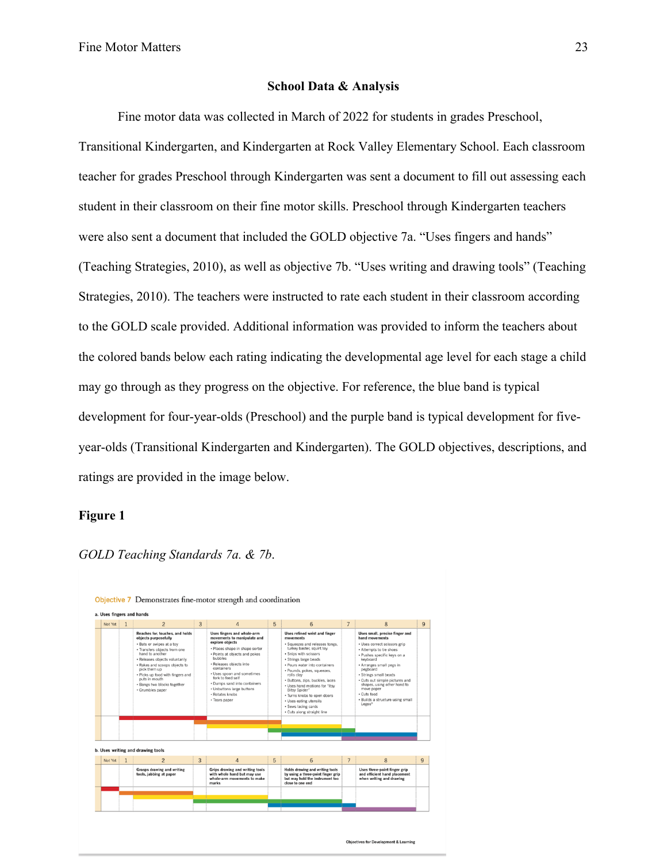#### **School Data & Analysis**

Fine motor data was collected in March of 2022 for students in grades Preschool, Transitional Kindergarten, and Kindergarten at Rock Valley Elementary School. Each classroom teacher for grades Preschool through Kindergarten was sent a document to fill out assessing each student in their classroom on their fine motor skills. Preschool through Kindergarten teachers were also sent a document that included the GOLD objective 7a. "Uses fingers and hands" (Teaching Strategies, 2010), as well as objective 7b. "Uses writing and drawing tools" (Teaching Strategies, 2010). The teachers were instructed to rate each student in their classroom according to the GOLD scale provided. Additional information was provided to inform the teachers about the colored bands below each rating indicating the developmental age level for each stage a child may go through as they progress on the objective. For reference, the blue band is typical development for four-year-olds (Preschool) and the purple band is typical development for fiveyear-olds (Transitional Kindergarten and Kindergarten). The GOLD objectives, descriptions, and ratings are provided in the image below.

#### **Figure 1**



*GOLD Teaching Standards 7a. & 7b*.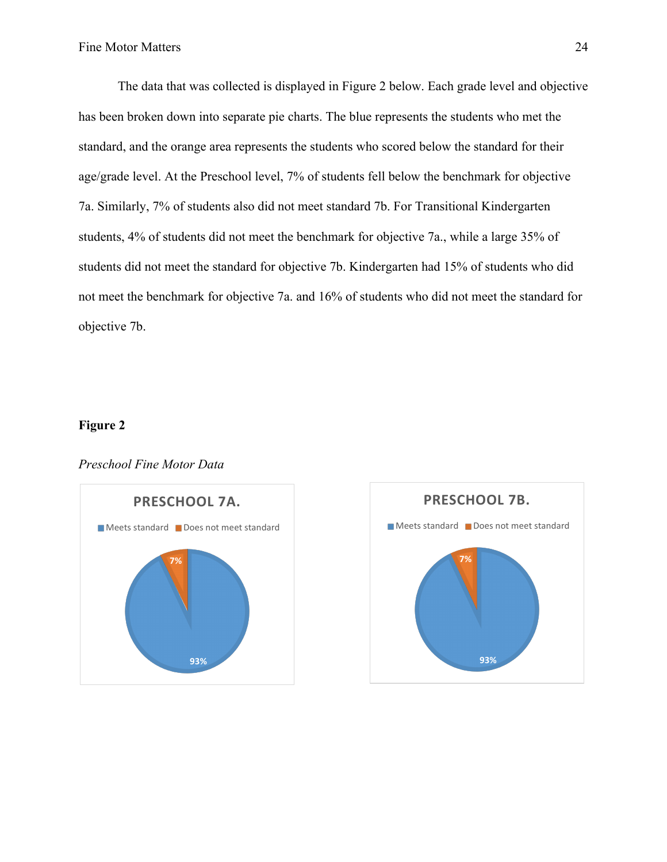The data that was collected is displayed in Figure 2 below. Each grade level and objective has been broken down into separate pie charts. The blue represents the students who met the standard, and the orange area represents the students who scored below the standard for their age/grade level. At the Preschool level, 7% of students fell below the benchmark for objective 7a. Similarly, 7% of students also did not meet standard 7b. For Transitional Kindergarten students, 4% of students did not meet the benchmark for objective 7a., while a large 35% of students did not meet the standard for objective 7b. Kindergarten had 15% of students who did not meet the benchmark for objective 7a. and 16% of students who did not meet the standard for objective 7b.

#### **Figure 2**







## *Preschool Fine Motor Data*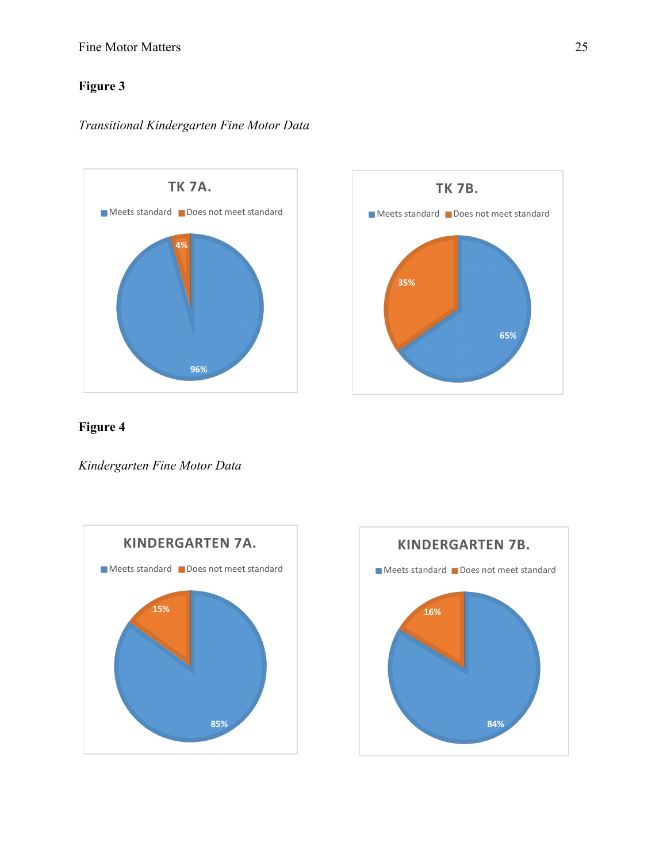### Fine Motor Matters 25

## **Figure 3**

### *Transitional Kindergarten Fine Motor Data*





## **Figure 4**

*Kindergarten Fine Motor Data*



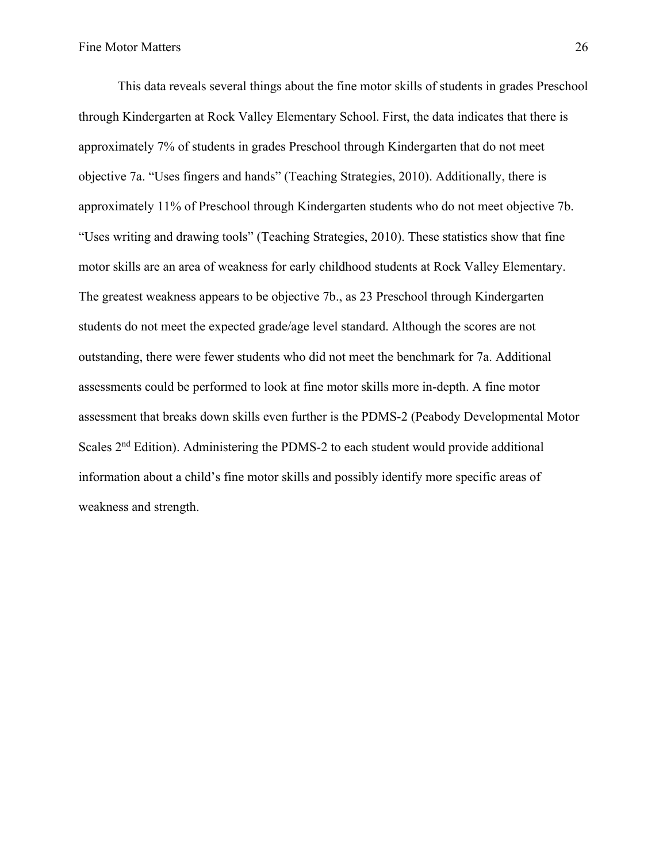This data reveals several things about the fine motor skills of students in grades Preschool through Kindergarten at Rock Valley Elementary School. First, the data indicates that there is approximately 7% of students in grades Preschool through Kindergarten that do not meet objective 7a. "Uses fingers and hands" (Teaching Strategies, 2010). Additionally, there is approximately 11% of Preschool through Kindergarten students who do not meet objective 7b. "Uses writing and drawing tools" (Teaching Strategies, 2010). These statistics show that fine motor skills are an area of weakness for early childhood students at Rock Valley Elementary. The greatest weakness appears to be objective 7b., as 23 Preschool through Kindergarten students do not meet the expected grade/age level standard. Although the scores are not outstanding, there were fewer students who did not meet the benchmark for 7a. Additional assessments could be performed to look at fine motor skills more in-depth. A fine motor assessment that breaks down skills even further is the PDMS-2 (Peabody Developmental Motor Scales 2nd Edition). Administering the PDMS-2 to each student would provide additional information about a child's fine motor skills and possibly identify more specific areas of weakness and strength.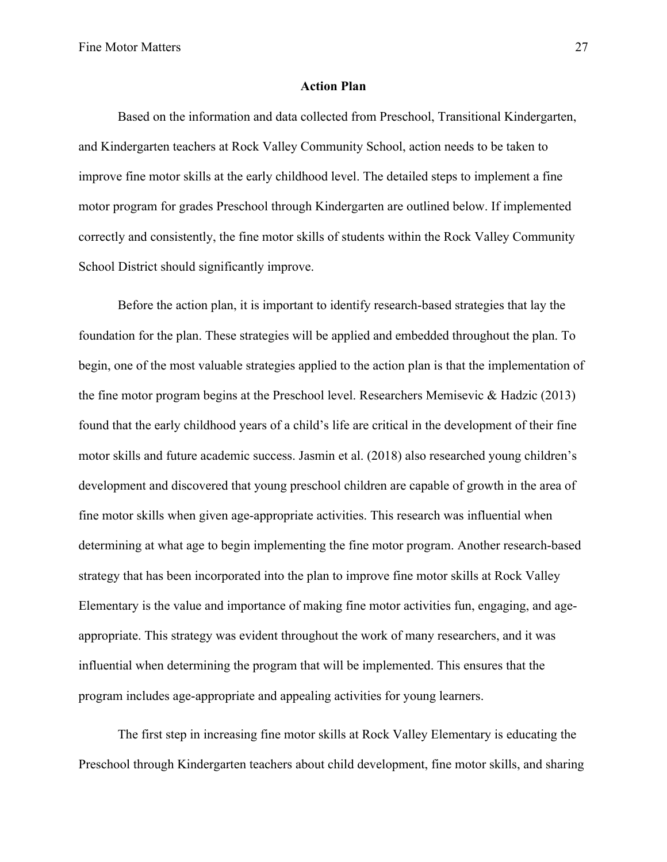#### **Action Plan**

Based on the information and data collected from Preschool, Transitional Kindergarten, and Kindergarten teachers at Rock Valley Community School, action needs to be taken to improve fine motor skills at the early childhood level. The detailed steps to implement a fine motor program for grades Preschool through Kindergarten are outlined below. If implemented correctly and consistently, the fine motor skills of students within the Rock Valley Community School District should significantly improve.

Before the action plan, it is important to identify research-based strategies that lay the foundation for the plan. These strategies will be applied and embedded throughout the plan. To begin, one of the most valuable strategies applied to the action plan is that the implementation of the fine motor program begins at the Preschool level. Researchers Memisevic & Hadzic (2013) found that the early childhood years of a child's life are critical in the development of their fine motor skills and future academic success. Jasmin et al. (2018) also researched young children's development and discovered that young preschool children are capable of growth in the area of fine motor skills when given age-appropriate activities. This research was influential when determining at what age to begin implementing the fine motor program. Another research-based strategy that has been incorporated into the plan to improve fine motor skills at Rock Valley Elementary is the value and importance of making fine motor activities fun, engaging, and ageappropriate. This strategy was evident throughout the work of many researchers, and it was influential when determining the program that will be implemented. This ensures that the program includes age-appropriate and appealing activities for young learners.

The first step in increasing fine motor skills at Rock Valley Elementary is educating the Preschool through Kindergarten teachers about child development, fine motor skills, and sharing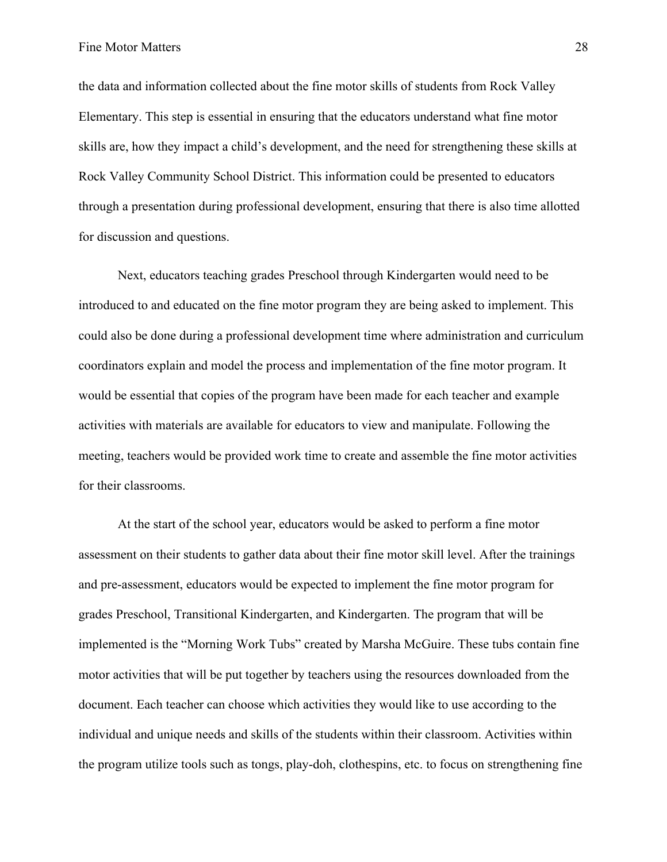the data and information collected about the fine motor skills of students from Rock Valley Elementary. This step is essential in ensuring that the educators understand what fine motor skills are, how they impact a child's development, and the need for strengthening these skills at Rock Valley Community School District. This information could be presented to educators through a presentation during professional development, ensuring that there is also time allotted for discussion and questions.

Next, educators teaching grades Preschool through Kindergarten would need to be introduced to and educated on the fine motor program they are being asked to implement. This could also be done during a professional development time where administration and curriculum coordinators explain and model the process and implementation of the fine motor program. It would be essential that copies of the program have been made for each teacher and example activities with materials are available for educators to view and manipulate. Following the meeting, teachers would be provided work time to create and assemble the fine motor activities for their classrooms.

At the start of the school year, educators would be asked to perform a fine motor assessment on their students to gather data about their fine motor skill level. After the trainings and pre-assessment, educators would be expected to implement the fine motor program for grades Preschool, Transitional Kindergarten, and Kindergarten. The program that will be implemented is the "Morning Work Tubs" created by Marsha McGuire. These tubs contain fine motor activities that will be put together by teachers using the resources downloaded from the document. Each teacher can choose which activities they would like to use according to the individual and unique needs and skills of the students within their classroom. Activities within the program utilize tools such as tongs, play-doh, clothespins, etc. to focus on strengthening fine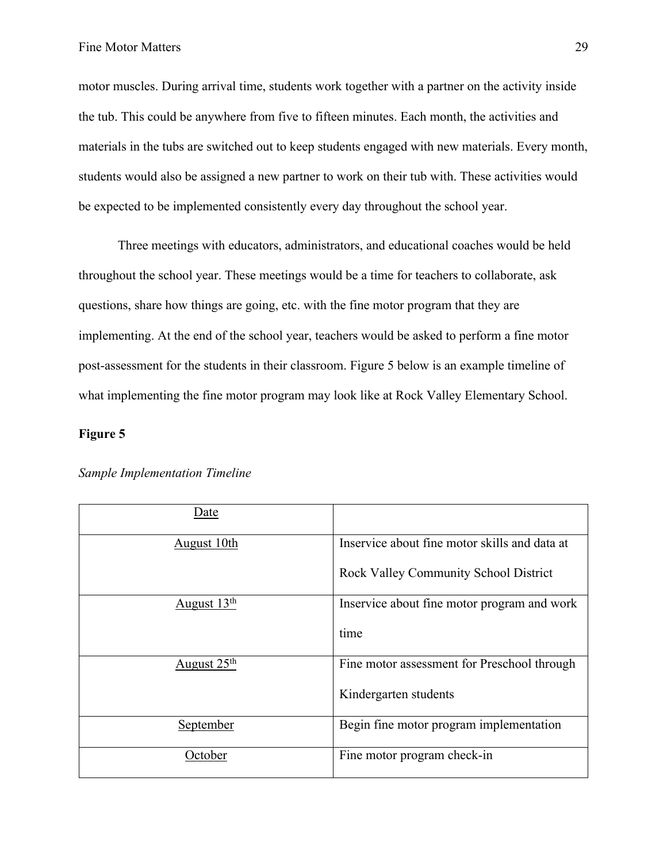motor muscles. During arrival time, students work together with a partner on the activity inside the tub. This could be anywhere from five to fifteen minutes. Each month, the activities and materials in the tubs are switched out to keep students engaged with new materials. Every month, students would also be assigned a new partner to work on their tub with. These activities would be expected to be implemented consistently every day throughout the school year.

Three meetings with educators, administrators, and educational coaches would be held throughout the school year. These meetings would be a time for teachers to collaborate, ask questions, share how things are going, etc. with the fine motor program that they are implementing. At the end of the school year, teachers would be asked to perform a fine motor post-assessment for the students in their classroom. Figure 5 below is an example timeline of what implementing the fine motor program may look like at Rock Valley Elementary School.

#### **Figure 5**

| Date                    |                                               |
|-------------------------|-----------------------------------------------|
| <u>August 10th</u>      | Inservice about fine motor skills and data at |
|                         | Rock Valley Community School District         |
| August $13th$           | Inservice about fine motor program and work   |
|                         | time                                          |
| August 25 <sup>th</sup> | Fine motor assessment for Preschool through   |
|                         | Kindergarten students                         |
| September               | Begin fine motor program implementation       |
| October                 | Fine motor program check-in                   |

#### *Sample Implementation Timeline*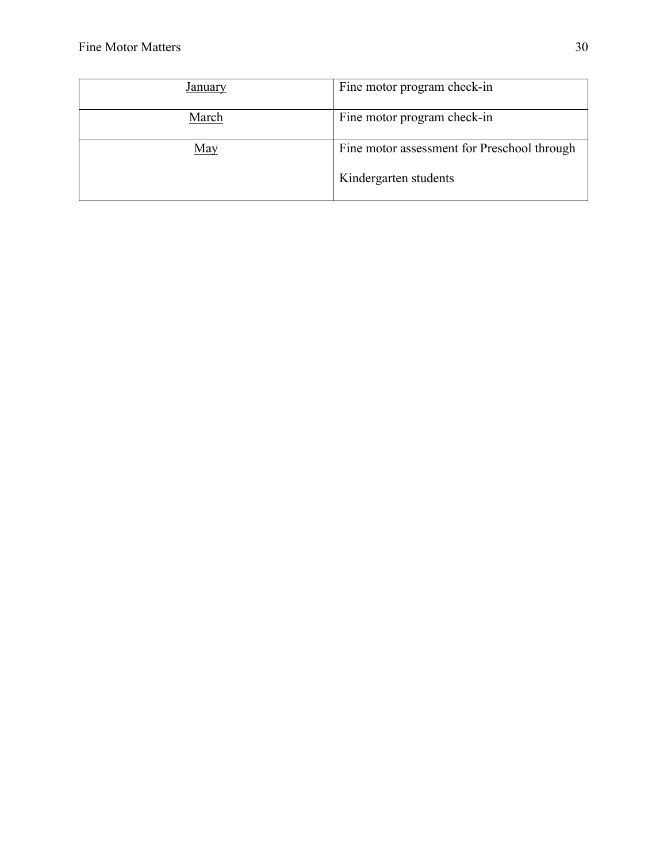| Januarv | Fine motor program check-in                 |
|---------|---------------------------------------------|
| March   | Fine motor program check-in                 |
| May     | Fine motor assessment for Preschool through |
|         | Kindergarten students                       |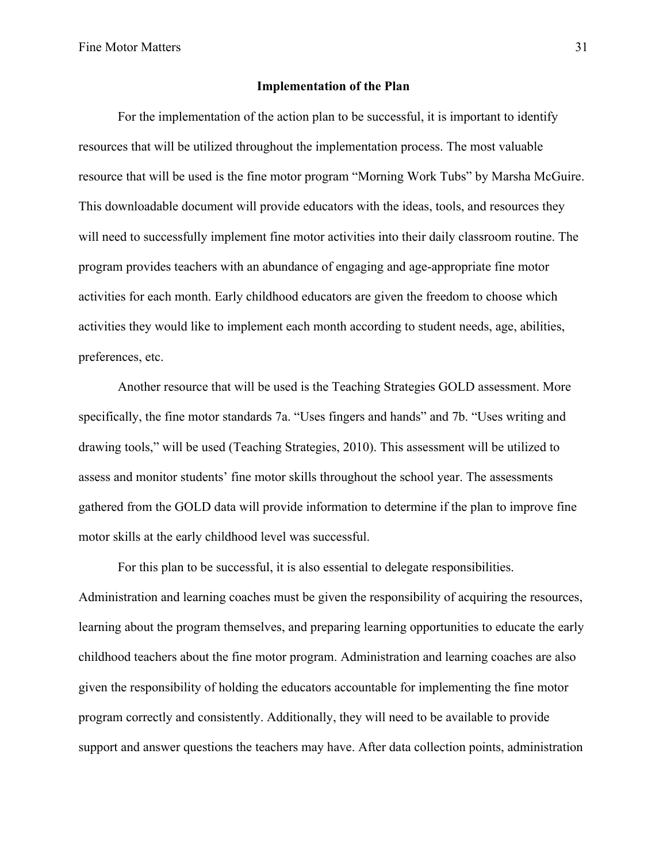#### **Implementation of the Plan**

For the implementation of the action plan to be successful, it is important to identify resources that will be utilized throughout the implementation process. The most valuable resource that will be used is the fine motor program "Morning Work Tubs" by Marsha McGuire. This downloadable document will provide educators with the ideas, tools, and resources they will need to successfully implement fine motor activities into their daily classroom routine. The program provides teachers with an abundance of engaging and age-appropriate fine motor activities for each month. Early childhood educators are given the freedom to choose which activities they would like to implement each month according to student needs, age, abilities, preferences, etc.

Another resource that will be used is the Teaching Strategies GOLD assessment. More specifically, the fine motor standards 7a. "Uses fingers and hands" and 7b. "Uses writing and drawing tools," will be used (Teaching Strategies, 2010). This assessment will be utilized to assess and monitor students' fine motor skills throughout the school year. The assessments gathered from the GOLD data will provide information to determine if the plan to improve fine motor skills at the early childhood level was successful.

For this plan to be successful, it is also essential to delegate responsibilities. Administration and learning coaches must be given the responsibility of acquiring the resources, learning about the program themselves, and preparing learning opportunities to educate the early childhood teachers about the fine motor program. Administration and learning coaches are also given the responsibility of holding the educators accountable for implementing the fine motor program correctly and consistently. Additionally, they will need to be available to provide support and answer questions the teachers may have. After data collection points, administration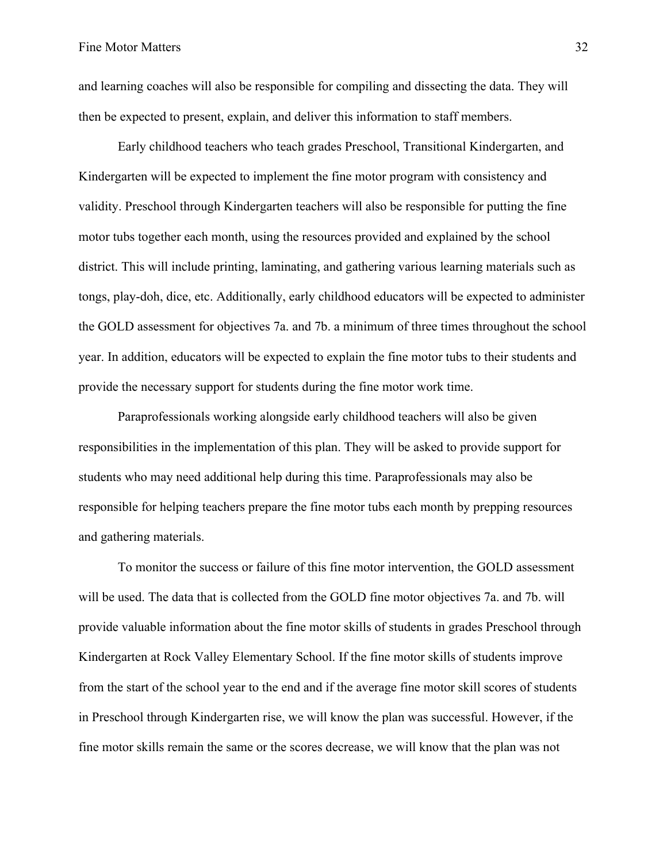and learning coaches will also be responsible for compiling and dissecting the data. They will then be expected to present, explain, and deliver this information to staff members.

Early childhood teachers who teach grades Preschool, Transitional Kindergarten, and Kindergarten will be expected to implement the fine motor program with consistency and validity. Preschool through Kindergarten teachers will also be responsible for putting the fine motor tubs together each month, using the resources provided and explained by the school district. This will include printing, laminating, and gathering various learning materials such as tongs, play-doh, dice, etc. Additionally, early childhood educators will be expected to administer the GOLD assessment for objectives 7a. and 7b. a minimum of three times throughout the school year. In addition, educators will be expected to explain the fine motor tubs to their students and provide the necessary support for students during the fine motor work time.

Paraprofessionals working alongside early childhood teachers will also be given responsibilities in the implementation of this plan. They will be asked to provide support for students who may need additional help during this time. Paraprofessionals may also be responsible for helping teachers prepare the fine motor tubs each month by prepping resources and gathering materials.

To monitor the success or failure of this fine motor intervention, the GOLD assessment will be used. The data that is collected from the GOLD fine motor objectives 7a. and 7b. will provide valuable information about the fine motor skills of students in grades Preschool through Kindergarten at Rock Valley Elementary School. If the fine motor skills of students improve from the start of the school year to the end and if the average fine motor skill scores of students in Preschool through Kindergarten rise, we will know the plan was successful. However, if the fine motor skills remain the same or the scores decrease, we will know that the plan was not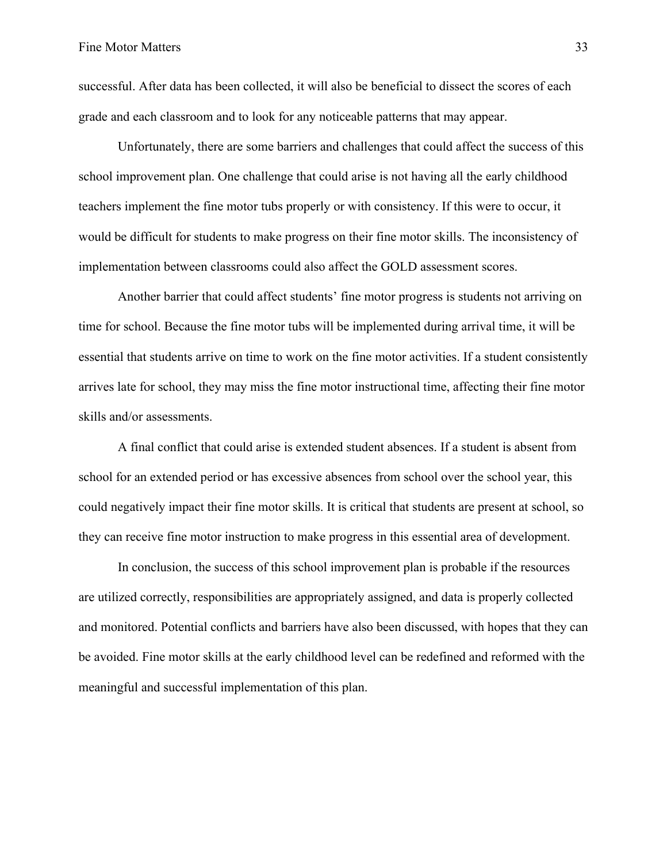successful. After data has been collected, it will also be beneficial to dissect the scores of each grade and each classroom and to look for any noticeable patterns that may appear.

Unfortunately, there are some barriers and challenges that could affect the success of this school improvement plan. One challenge that could arise is not having all the early childhood teachers implement the fine motor tubs properly or with consistency. If this were to occur, it would be difficult for students to make progress on their fine motor skills. The inconsistency of implementation between classrooms could also affect the GOLD assessment scores.

Another barrier that could affect students' fine motor progress is students not arriving on time for school. Because the fine motor tubs will be implemented during arrival time, it will be essential that students arrive on time to work on the fine motor activities. If a student consistently arrives late for school, they may miss the fine motor instructional time, affecting their fine motor skills and/or assessments.

A final conflict that could arise is extended student absences. If a student is absent from school for an extended period or has excessive absences from school over the school year, this could negatively impact their fine motor skills. It is critical that students are present at school, so they can receive fine motor instruction to make progress in this essential area of development.

In conclusion, the success of this school improvement plan is probable if the resources are utilized correctly, responsibilities are appropriately assigned, and data is properly collected and monitored. Potential conflicts and barriers have also been discussed, with hopes that they can be avoided. Fine motor skills at the early childhood level can be redefined and reformed with the meaningful and successful implementation of this plan.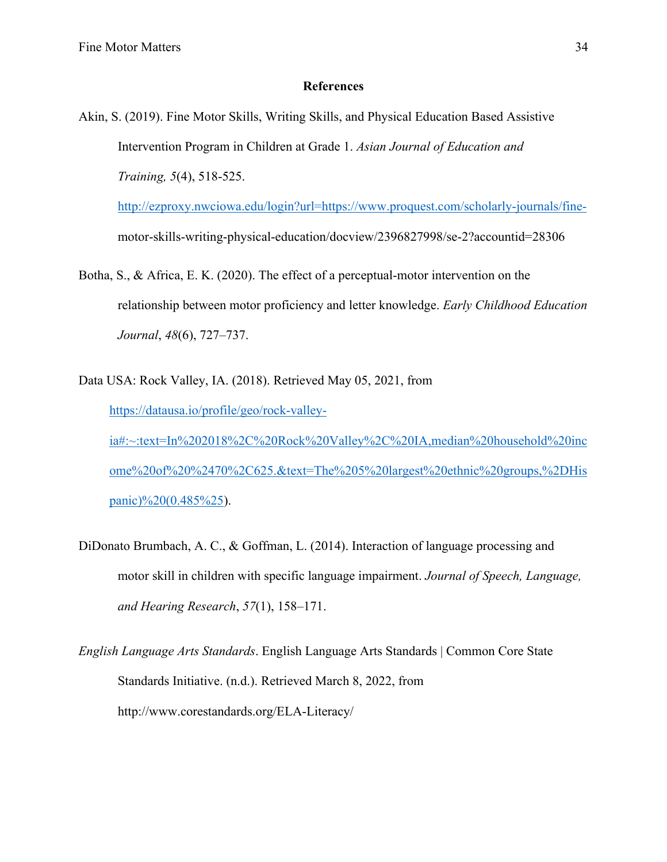#### **References**

Akin, S. (2019). Fine Motor Skills, Writing Skills, and Physical Education Based Assistive Intervention Program in Children at Grade 1. *Asian Journal of Education and Training, 5*(4), 518-525.

http://ezproxy.nwciowa.edu/login?url=https://www.proquest.com/scholarly-journals/finemotor-skills-writing-physical-education/docview/2396827998/se-2?accountid=28306

- Botha, S., & Africa, E. K. (2020). The effect of a perceptual-motor intervention on the relationship between motor proficiency and letter knowledge. *Early Childhood Education Journal*, *48*(6), 727–737.
- Data USA: Rock Valley, IA. (2018). Retrieved May 05, 2021, from https://datausa.io/profile/geo/rock-valleyia#:~:text=In%202018%2C%20Rock%20Valley%2C%20IA,median%20household%20inc ome%20of%20%2470%2C625.&text=The%205%20largest%20ethnic%20groups,%2DHis panic)%20(0.485%25).
- DiDonato Brumbach, A. C., & Goffman, L. (2014). Interaction of language processing and motor skill in children with specific language impairment. *Journal of Speech, Language, and Hearing Research*, *57*(1), 158–171.
- *English Language Arts Standards*. English Language Arts Standards | Common Core State Standards Initiative. (n.d.). Retrieved March 8, 2022, from http://www.corestandards.org/ELA-Literacy/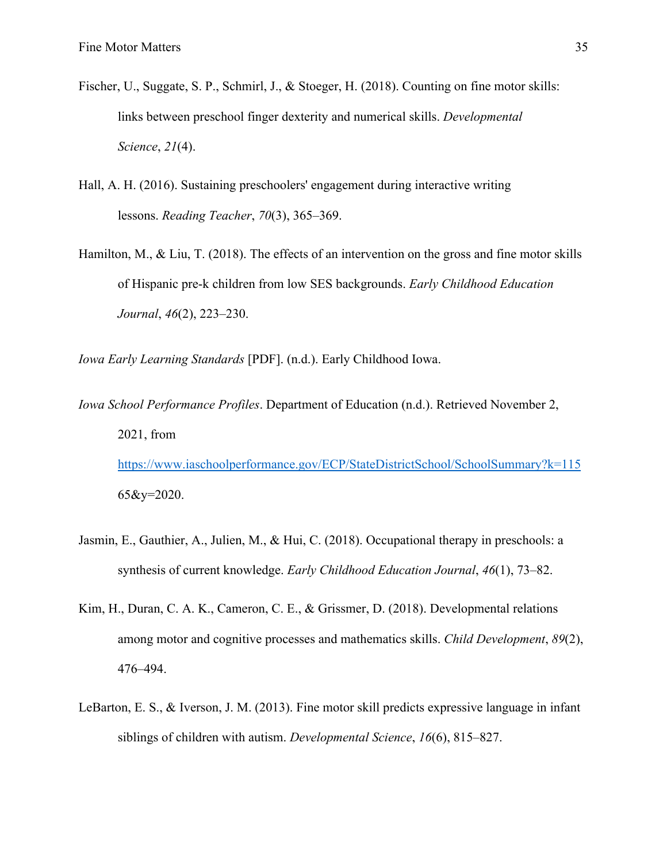- Fischer, U., Suggate, S. P., Schmirl, J., & Stoeger, H. (2018). Counting on fine motor skills: links between preschool finger dexterity and numerical skills. *Developmental Science*, *21*(4).
- Hall, A. H. (2016). Sustaining preschoolers' engagement during interactive writing lessons. *Reading Teacher*, *70*(3), 365–369.
- Hamilton, M., & Liu, T. (2018). The effects of an intervention on the gross and fine motor skills of Hispanic pre-k children from low SES backgrounds. *Early Childhood Education Journal*, *46*(2), 223–230.

*Iowa Early Learning Standards* [PDF]. (n.d.). Early Childhood Iowa.

*Iowa School Performance Profiles*. Department of Education (n.d.). Retrieved November 2, 2021, from https://www.iaschoolperformance.gov/ECP/StateDistrictSchool/SchoolSummary?k=115

65&y=2020.

- Jasmin, E., Gauthier, A., Julien, M., & Hui, C. (2018). Occupational therapy in preschools: a synthesis of current knowledge. *Early Childhood Education Journal*, *46*(1), 73–82.
- Kim, H., Duran, C. A. K., Cameron, C. E., & Grissmer, D. (2018). Developmental relations among motor and cognitive processes and mathematics skills. *Child Development*, *89*(2), 476–494.
- LeBarton, E. S., & Iverson, J. M. (2013). Fine motor skill predicts expressive language in infant siblings of children with autism. *Developmental Science*, *16*(6), 815–827.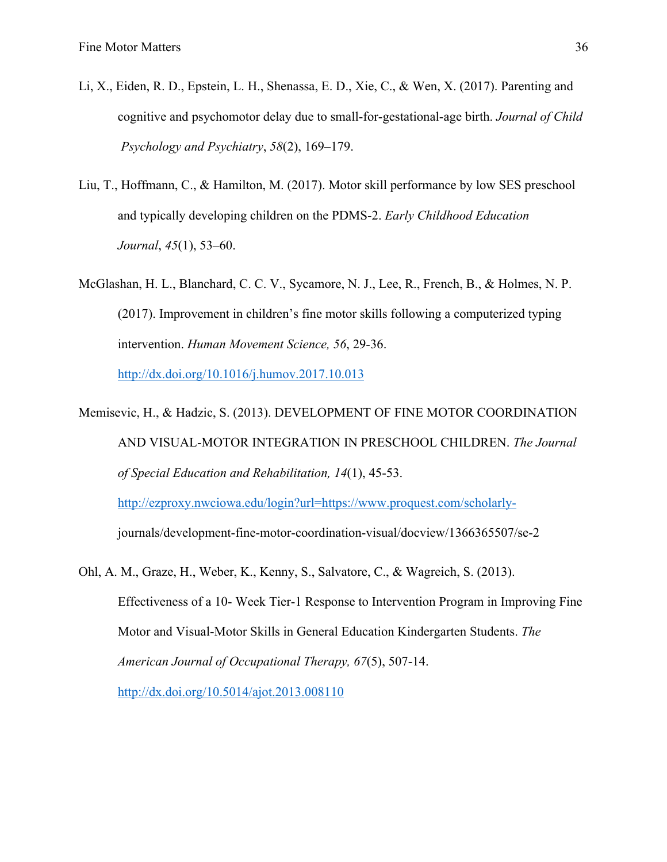- Li, X., Eiden, R. D., Epstein, L. H., Shenassa, E. D., Xie, C., & Wen, X. (2017). Parenting and cognitive and psychomotor delay due to small-for-gestational-age birth. *Journal of Child Psychology and Psychiatry*, *58*(2), 169–179.
- Liu, T., Hoffmann, C., & Hamilton, M. (2017). Motor skill performance by low SES preschool and typically developing children on the PDMS-2. *Early Childhood Education Journal*, *45*(1), 53–60.
- McGlashan, H. L., Blanchard, C. C. V., Sycamore, N. J., Lee, R., French, B., & Holmes, N. P. (2017). Improvement in children's fine motor skills following a computerized typing intervention. *Human Movement Science, 56*, 29-36.

http://dx.doi.org/10.1016/j.humov.2017.10.013

Memisevic, H., & Hadzic, S. (2013). DEVELOPMENT OF FINE MOTOR COORDINATION AND VISUAL-MOTOR INTEGRATION IN PRESCHOOL CHILDREN. *The Journal of Special Education and Rehabilitation, 14*(1), 45-53.

http://ezproxy.nwciowa.edu/login?url=https://www.proquest.com/scholarly-

journals/development-fine-motor-coordination-visual/docview/1366365507/se-2

Ohl, A. M., Graze, H., Weber, K., Kenny, S., Salvatore, C., & Wagreich, S. (2013). Effectiveness of a 10- Week Tier-1 Response to Intervention Program in Improving Fine Motor and Visual-Motor Skills in General Education Kindergarten Students. *The American Journal of Occupational Therapy, 67*(5), 507-14. http://dx.doi.org/10.5014/ajot.2013.008110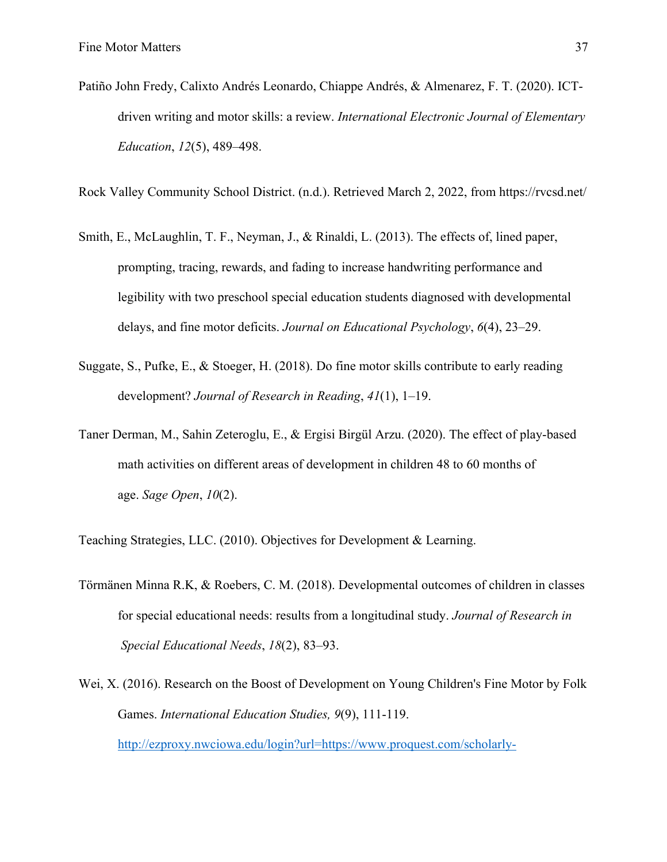Patiño John Fredy, Calixto Andrés Leonardo, Chiappe Andrés, & Almenarez, F. T. (2020). ICTdriven writing and motor skills: a review. *International Electronic Journal of Elementary Education*, *12*(5), 489–498.

Rock Valley Community School District. (n.d.). Retrieved March 2, 2022, from https://rvcsd.net/

- Smith, E., McLaughlin, T. F., Neyman, J., & Rinaldi, L. (2013). The effects of, lined paper, prompting, tracing, rewards, and fading to increase handwriting performance and legibility with two preschool special education students diagnosed with developmental delays, and fine motor deficits. *Journal on Educational Psychology*, *6*(4), 23–29.
- Suggate, S., Pufke, E., & Stoeger, H. (2018). Do fine motor skills contribute to early reading development? *Journal of Research in Reading*, *41*(1), 1–19.
- Taner Derman, M., Sahin Zeteroglu, E., & Ergisi Birgül Arzu. (2020). The effect of play-based math activities on different areas of development in children 48 to 60 months of age. *Sage Open*, *10*(2).

Teaching Strategies, LLC. (2010). Objectives for Development & Learning.

- Törmänen Minna R.K, & Roebers, C. M. (2018). Developmental outcomes of children in classes for special educational needs: results from a longitudinal study. *Journal of Research in Special Educational Needs*, *18*(2), 83–93.
- Wei, X. (2016). Research on the Boost of Development on Young Children's Fine Motor by Folk Games. *International Education Studies, 9*(9), 111-119.

http://ezproxy.nwciowa.edu/login?url=https://www.proquest.com/scholarly-